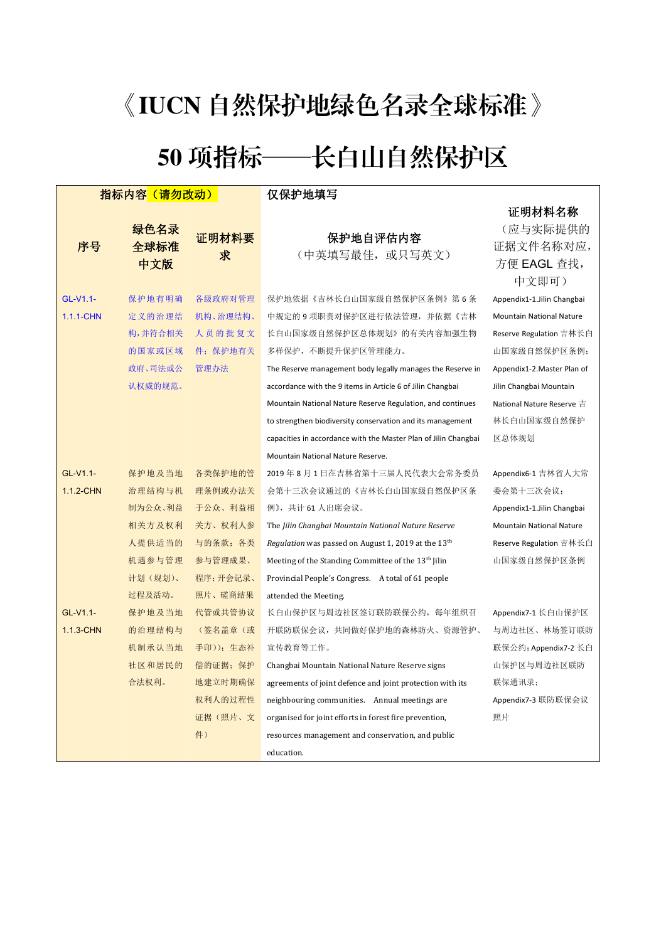## 《IUCN 自然保护地绿色名录全球标准》

## 50 项指标——长白山自然保护区

| 指标内容 (请勿改动) |         |          | 仅保护地填写                                                          |                                 |
|-------------|---------|----------|-----------------------------------------------------------------|---------------------------------|
|             |         |          |                                                                 | 证明材料名称                          |
|             | 绿色名录    | 证明材料要    | 保护地自评估内容                                                        | (应与实际提供的                        |
| 序号          | 全球标准    | 求        | (中英填写最佳, 或只写英文)                                                 | 证据文件名称对应,                       |
|             | 中文版     |          |                                                                 | 方便 EAGL 查找,                     |
|             |         |          |                                                                 | 中文即可)                           |
| GL-V1.1-    | 保护地有明确  | 各级政府对管理  | 保护地依据《吉林长自山国家级自然保护区条例》第6条                                       | Appendix1-1.Jilin Changbai      |
| 1.1.1-CHN   | 定义的治理结  | 机构、治理结构、 | 中规定的 9 项职责对保护区进行依法管理,并依据《吉林                                     | <b>Mountain National Nature</b> |
|             | 构,并符合相关 | 人员的批复文   | 长白山国家级自然保护区总体规划》的有关内容加强生物                                       | Reserve Regulation 吉林长白         |
|             | 的国家或区域  | 件; 保护地有关 | 多样保护, 不断提升保护区管理能力。                                              | 山国家级自然保护区条例;                    |
|             | 政府、司法或公 | 管理办法     | The Reserve management body legally manages the Reserve in      | Appendix1-2. Master Plan of     |
|             | 认权威的规范。 |          | accordance with the 9 items in Article 6 of Jilin Changbai      | Jilin Changbai Mountain         |
|             |         |          | Mountain National Nature Reserve Regulation, and continues      | National Nature Reserve 吉       |
|             |         |          | to strengthen biodiversity conservation and its management      | 林长白山国家级自然保护                     |
|             |         |          | capacities in accordance with the Master Plan of Jilin Changbai | 区总体规划                           |
|             |         |          | Mountain National Nature Reserve.                               |                                 |
| GL-V1.1-    | 保护地及当地  | 各类保护地的管  | 2019年8月1日在吉林省第十三届人民代表大会常务委员                                     | Appendix6-1 吉林省人大常              |
| 1.1.2-CHN   | 治理结构与机  | 理条例或办法关  | 会第十三次会议通过的《吉林长白山国家级自然保护区条                                       | 委会第十三次会议;                       |
|             | 制为公众、利益 | 于公众、利益相  | 例》,共计 61 人出席会议。                                                 | Appendix1-1.Jilin Changbai      |
|             | 相关方及权利  | 关方、权利人参  | The Jilin Changbai Mountain National Nature Reserve             | <b>Mountain National Nature</b> |
|             | 人提供适当的  | 与的条款; 各类 | Regulation was passed on August 1, 2019 at the 13 <sup>th</sup> | Reserve Regulation 吉林长白         |
|             | 机遇参与管理  | 参与管理成果、  | Meeting of the Standing Committee of the 13 <sup>th</sup> Jilin | 山国家级自然保护区条例                     |
|             | 计划(规划)、 | 程序;开会记录、 | Provincial People's Congress. A total of 61 people              |                                 |
|             | 过程及活动。  | 照片、磋商结果  | attended the Meeting.                                           |                                 |
| GL-V1.1-    | 保护地及当地  | 代管或共管协议  | 长白山保护区与周边社区签订联防联保公约,每年组织召                                       | Appendix7-1 长白山保护区              |
| 1.1.3-CHN   | 的治理结构与  | (签名盖章 (或 | 开联防联保会议, 共同做好保护地的森林防火、资源管护、                                     | 与周边社区、林场签订联防                    |
|             | 机制承认当地  | 手印));生态补 | 宣传教育等工作。                                                        | 联保公约; Appendix7-2 长白            |
|             | 社区和居民的  | 偿的证据; 保护 | Changbai Mountain National Nature Reserve signs                 | 山保护区与周边社区联防                     |
|             | 合法权利。   | 地建立时期确保  | agreements of joint defence and joint protection with its       | 联保通讯录;                          |
|             |         | 权利人的过程性  | neighbouring communities. Annual meetings are                   | Appendix7-3 联防联保会议              |
|             |         | 证据(照片、文  | organised for joint efforts in forest fire prevention,          | 照片                              |
|             |         | 件)       | resources management and conservation, and public               |                                 |
|             |         |          | education.                                                      |                                 |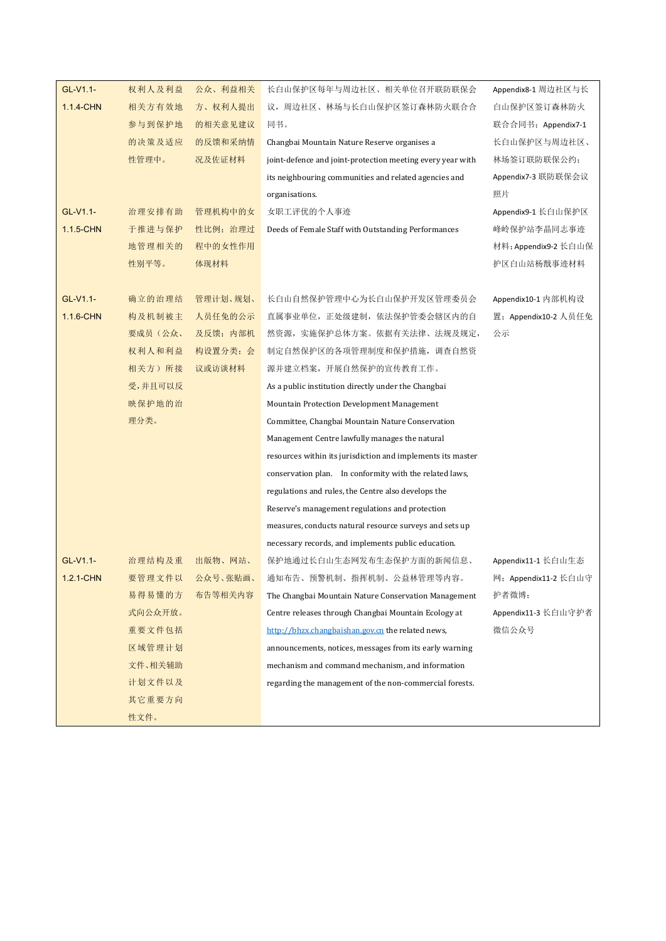| GL-V1.1-      | 权利人及利益  | 公众、利益相关  | 长白山保护区每年与周边社区、相关单位召开联防联保会                                   | Appendix8-1 周边社区与长   |
|---------------|---------|----------|-------------------------------------------------------------|----------------------|
| 1.1.4-CHN     | 相关方有效地  | 方、权利人提出  | 议, 周边社区、林场与长白山保护区签订森林防火联合合                                  | 白山保护区签订森林防火          |
|               | 参与到保护地  | 的相关意见建议  | 同书。                                                         | 联合合同书; Appendix7-1   |
|               | 的决策及适应  | 的反馈和采纳情  | Changbai Mountain Nature Reserve organises a                | 长白山保护区与周边社区、         |
|               | 性管理中。   | 况及佐证材料   | joint-defence and joint-protection meeting every year with  | 林场签订联防联保公约;          |
|               |         |          | its neighbouring communities and related agencies and       | Appendix7-3 联防联保会议   |
|               |         |          | organisations.                                              | 照片                   |
| GL-V1.1-      | 治理安排有助  | 管理机构中的女  | 女职工评优的个人事迹                                                  | Appendix9-1 长自山保护区   |
| 1.1.5-CHN     | 于推进与保护  | 性比例: 治理过 | Deeds of Female Staff with Outstanding Performances         | 峰岭保护站李晶同志事迹          |
|               | 地管理相关的  | 程中的女性作用  |                                                             | 材料; Appendix9-2 长白山保 |
|               | 性别平等。   | 体现材料     |                                                             | 护区白山站杨戬事迹材料          |
| GL-V1.1-      | 确立的治理结  | 管理计划、规划、 | 长白山自然保护管理中心为长白山保护开发区管理委员会                                   | Appendix10-1 内部机构设   |
| 1.1.6-CHN     | 构及机制被主  | 人员任免的公示  | 直属事业单位, 正处级建制, 依法保护管委会辖区内的自                                 | 置; Appendix10-2 人员任免 |
|               | 要成员(公众、 | 及反馈; 内部机 | 然资源,实施保护总体方案。依据有关法律、法规及规定,                                  | 公示                   |
|               | 权利人和利益  | 构设置分类;会  | 制定自然保护区的各项管理制度和保护措施, 调查自然资                                  |                      |
|               | 相关方)所接  | 议或访谈材料   | 源并建立档案, 开展自然保护的宣传教育工作。                                      |                      |
|               | 受,并且可以反 |          | As a public institution directly under the Changbai         |                      |
|               | 映保护地的治  |          | Mountain Protection Development Management                  |                      |
|               | 理分类。    |          | Committee, Changbai Mountain Nature Conservation            |                      |
|               |         |          | Management Centre lawfully manages the natural              |                      |
|               |         |          | resources within its jurisdiction and implements its master |                      |
|               |         |          | conservation plan. In conformity with the related laws,     |                      |
|               |         |          | regulations and rules, the Centre also develops the         |                      |
|               |         |          | Reserve's management regulations and protection             |                      |
|               |         |          | measures, conducts natural resource surveys and sets up     |                      |
|               |         |          | necessary records, and implements public education.         |                      |
| GL-V1.1-      | 治理结构及重  | 出版物、网站、  | 保护地通过长白山生态网发布生态保护方面的新闻信息、                                   | Appendix11-1 长白山生态   |
| $1.2.1 - CHN$ | 要管理文件以  | 公众号、张贴画、 | 通知布告、预警机制、指挥机制、公益林管理等内容。                                    | 网; Appendix11-2 长白山守 |
|               | 易得易懂的方  | 布告等相关内容  | The Changbai Mountain Nature Conservation Management        | 护者微博;                |
|               | 式向公众开放。 |          | Centre releases through Changbai Mountain Ecology at        | Appendix11-3 长白山守护者  |
|               | 重要文件包括  |          | http://bhzx.changbaishan.gov.cn the related news.           | 微信公众号                |
|               | 区域管理计划  |          | announcements, notices, messages from its early warning     |                      |
|               | 文件、相关辅助 |          | mechanism and command mechanism, and information            |                      |
|               | 计划文件以及  |          | regarding the management of the non-commercial forests.     |                      |
|               | 其它重要方向  |          |                                                             |                      |
|               | 性文件。    |          |                                                             |                      |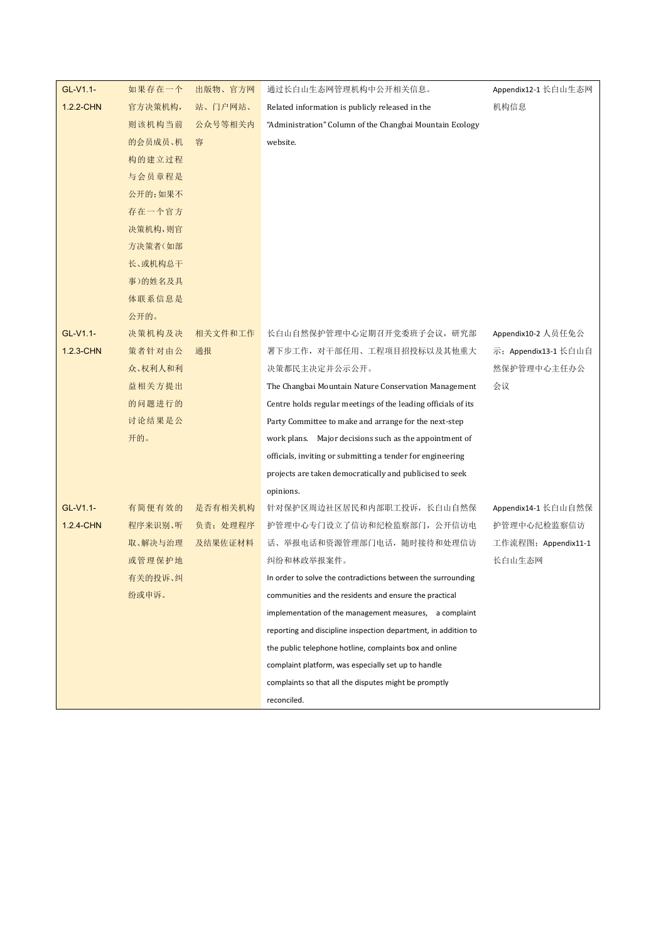| GL-V1.1-  | 如果存在一个  | 出版物、官方网  | 通过长白山生态网管理机构中公开相关信息。                                           | Appendix12-1 长白山生态网  |
|-----------|---------|----------|----------------------------------------------------------------|----------------------|
| 1.2.2-CHN | 官方决策机构, | 站、门户网站、  | Related information is publicly released in the                | 机构信息                 |
|           | 则该机构当前  | 公众号等相关内  | "Administration" Column of the Changbai Mountain Ecology       |                      |
|           | 的会员成员、机 | 容        | website.                                                       |                      |
|           | 构的建立过程  |          |                                                                |                      |
|           | 与会员章程是  |          |                                                                |                      |
|           | 公开的;如果不 |          |                                                                |                      |
|           | 存在一个官方  |          |                                                                |                      |
|           | 决策机构,则官 |          |                                                                |                      |
|           | 方决策者(如部 |          |                                                                |                      |
|           | 长、或机构总干 |          |                                                                |                      |
|           | 事)的姓名及具 |          |                                                                |                      |
|           | 体联系信息是  |          |                                                                |                      |
|           | 公开的。    |          |                                                                |                      |
| GL-V1.1-  | 决策机构及决  | 相关文件和工作  | 长白山自然保护管理中心定期召开党委班子会议, 研究部                                     | Appendix10-2 人员任免公   |
| 1.2.3-CHN | 策者针对由公  | 通报       | 署下步工作, 对干部任用、工程项目招投标以及其他重大                                     | 示; Appendix13-1 长白山自 |
|           | 众、权利人和利 |          | 决策都民主决定并公示公开。                                                  | 然保护管理中心主任办公          |
|           | 益相关方提出  |          | The Changbai Mountain Nature Conservation Management           | 会议                   |
|           | 的问题进行的  |          | Centre holds regular meetings of the leading officials of its  |                      |
|           | 讨论结果是公  |          | Party Committee to make and arrange for the next-step          |                      |
|           | 开的。     |          | work plans. Major decisions such as the appointment of         |                      |
|           |         |          | officials, inviting or submitting a tender for engineering     |                      |
|           |         |          | projects are taken democratically and publicised to seek       |                      |
|           |         |          | opinions.                                                      |                      |
| GL-V1.1-  | 有简便有效的  | 是否有相关机构  | 针对保护区周边社区居民和内部职工投诉, 长白山自然保                                     | Appendix14-1 长白山自然保  |
| 1.2.4-CHN | 程序来识别、听 | 负责; 处理程序 | 护管理中心专门设立了信访和纪检监察部门, 公开信访电                                     | 护管理中心纪检监察信访          |
|           | 取、解决与治理 | 及结果佐证材料  | 话、举报电话和资源管理部门电话, 随时接待和处理信访                                     | 工作流程图; Appendix11-1  |
|           | 或管理保护地  |          | 纠纷和林政举报案件。                                                     | 长白山生态网               |
|           | 有关的投诉、纠 |          | In order to solve the contradictions between the surrounding   |                      |
|           | 纷或申诉。   |          | communities and the residents and ensure the practical         |                      |
|           |         |          | implementation of the management measures, a complaint         |                      |
|           |         |          | reporting and discipline inspection department, in addition to |                      |
|           |         |          | the public telephone hotline, complaints box and online        |                      |
|           |         |          | complaint platform, was especially set up to handle            |                      |
|           |         |          | complaints so that all the disputes might be promptly          |                      |
|           |         |          | reconciled.                                                    |                      |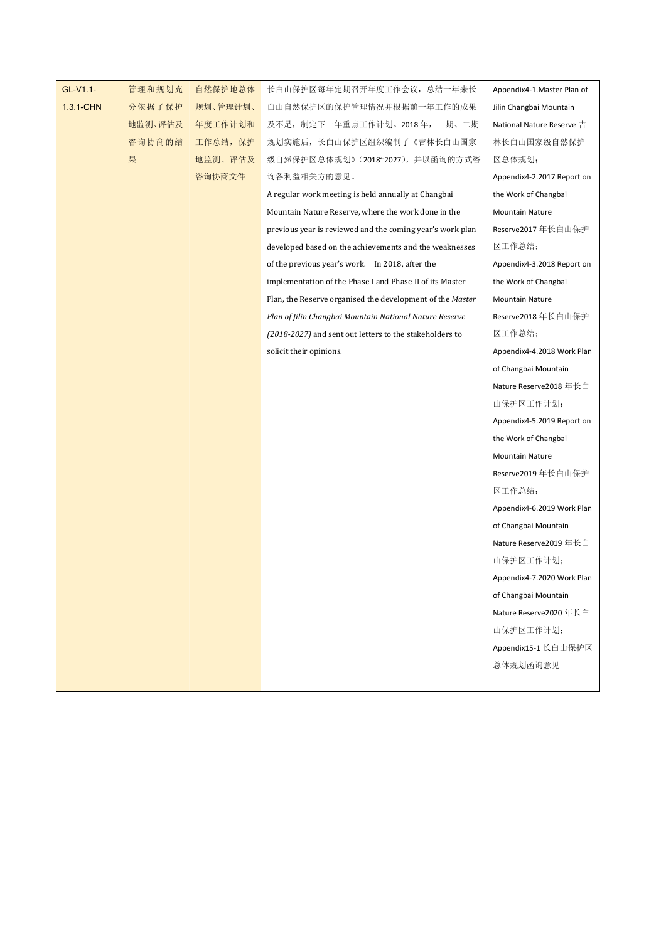| GL-V1.1-  | 管理和规划充  |
|-----------|---------|
| 1.3.1-CHN | 分依据了保护  |
|           | 地监测、评估及 |
|           | 咨询协商的结  |
|           | 果       |

规划、管理计划、 地监测、评估及

管理和规划充 自然保护地总体 长白山保护区每年定期召开年度工作会议,总结一年来长 Appendix4-1.Master Plan of 分依据了保护 规划、管理计划、 白山自然保护区的保护管理情况并根据前一年工作的成果 Jilin Changbai Mountain 地监测、评估及 年度工作计划和 及不足,制定下一年重点工作计划。2018 年,一期、二期 National Nature Reserve 吉 | 咨询协商的结 工作总结,保护 规划实施后,长白山保护区组织编制了《吉林长白山国家 林长白山国家级自然保护 | <mark>地监测、评估及</mark> 级自然保护区总体规划》(2018~2027),并以函询的方式咨 区总体规划; \_\_\_\_\_\_\_\_\_\_\_\_\_\_\_\_\_\_\_\_\_\_\_\_\_\_\_\_\_\_\_\_\_ 咨询协商文件 询各利益相关方的意见。

> A regular work meeting is held annually at Changbai Mountain Nature Reserve, where the work done in the previous year is reviewed and the coming year's work plan developed based on the achievements and the weaknesses of the previous year's work. In 2018, after the implementation of the Phase I and Phase II of its Master Plan, the Reserve organised the development of the *Master Plan of Jilin Changbai Mountain National Nature Reserve (2018-2027)* and sent out letters to the stakeholders to solicit their opinions.

Appendix4-1.Master Plan of Jilin Changbai Mountain National Nature Reserve 吉 林长白山国家级自然保护 区总体规划; Appendix4-2.2017 Report on the Work of Changbai Mountain Nature Reserve2017 年长白山保护 区工作总结; Appendix4-3.2018 Report on the Work of Changbai Mountain Nature Reserve2018 年长白山保护 区工作总结; Appendix4-4.2018 Work Plan of Changbai Mountain Nature Reserve2018 年长白 山保护区工作计划; Appendix4-5.2019 Report on the Work of Changbai Mountain Nature Reserve2019 年长白山保护 区工作总结; Appendix4-6.2019 Work Plan of Changbai Mountain Nature Reserve2019 年长白 山保护区工作计划; Appendix4-7.2020 Work Plan of Changbai Mountain Nature Reserve2020 年长白 山保护区工作计划; Appendix15-1 长白山保护区 总体规划函询意见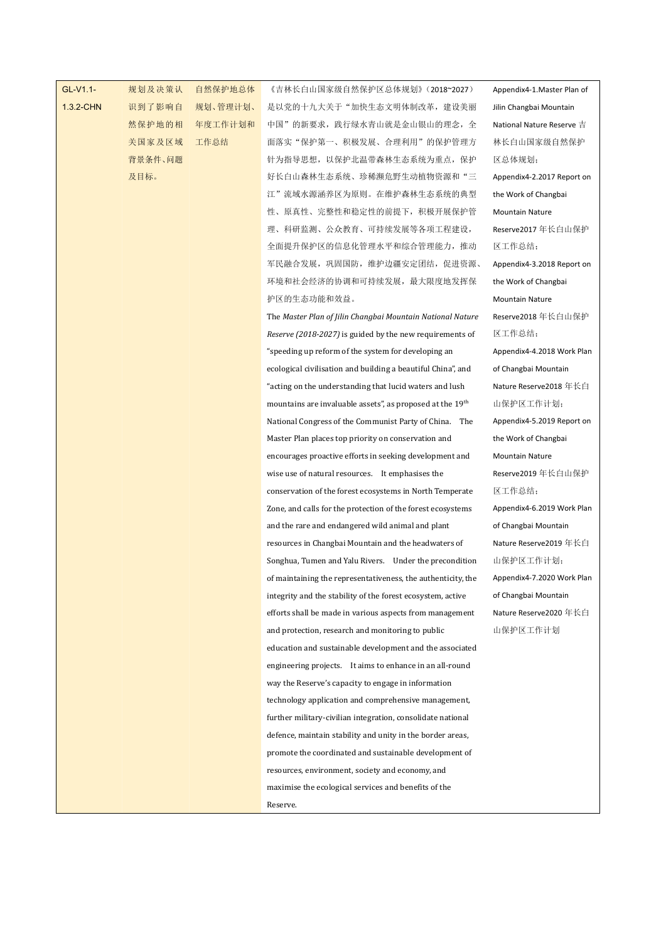## GL-V1.1- 规划及决策认

1.3.2-CHN 识到了影响自 规划、管理计划、

规划及决策认 自然保护地总体 《吉林长白山国家级自然保护区总体规划》(2018~2027) Appendix4-1.Master Plan of | 识到了影响自 规划、管理计划、 是以党的十九大关于"加快生态文明体制改革,建设美丽 Jilin Changbai Mountain | 然保护地的相 年度工作计划和 中国"的新要求,践行绿水青山就是金山银山的理念,全 National Nature Reserve 吉 | 关国家及区域 工作总结 面落实"保护第一、积极发展、合理利用"的保护管理方 <mark>背景条件、问题 针为指导思想,以保护北温带森林生态系统为重点,保护 区总体规划;</mark> 及目标。 好长白山森林生态系统、珍稀濒危野生动植物资源和"三 Appendix4-2.2017 Report on | 江"流域水源涵养区为原则。在维护森林生态系统的典型 性、原真性、完整性和稳定性的前提下,积极开展保护管 理、科研监测、公众教育、可持续发展等各项工程建设, 全面提升保护区的信息化管理水平和综合管理能力,推动 军民融合发展,巩固国防,维护边疆安定团结,促进资源、 环境和社会经济的协调和可持续发展,最大限度地发挥保 护区的生态功能和效益。

> The *Master Plan of Jilin Changbai Mountain National Nature Reserve (2018-2027)* is guided by the new requirements of "speeding up reform of the system for developingan ecological civilisation and building a beautiful China", and "acting on the understanding that lucid waters and lush mountains are invaluable assets", as proposed at the 19<sup>th</sup> National Congress of the Communist Party of China. The Master Plan places top priority on conservation and encourages proactive efforts in seeking development and wise use of natural resources. It emphasises the conservation of the forest ecosystems in North Temperate Zone, and calls for the protection of the forest ecosystems and the rare and endangered wild animal and plant resources in Changbai Mountain and the headwaters of Songhua, Tumen and Yalu Rivers. Under the precondition of maintaining the representativeness, the authenticity, the integrity and the stability of the forest ecosystem, active efforts shall be made in various aspects from management and protection, research and monitoring to public education and sustainable development and the associated engineering projects. It aims to enhance in an all-round way the Reserve's capacity to engage in information technology application and comprehensive management, further military-civilian integration, consolidate national defence, maintain stability and unity in the border areas, promote the coordinated and sustainable development of resources, environment, society and economy, and maximise the ecological services and benefits of the Reserve.

th 山保护区工作计划; Appendix4-1.Master Plan of Jilin Changbai Mountain National Nature Reserve 吉 林长白山国家级自然保护 区总体规划; Appendix4-2.2017 Report on the Work of Changbai Mountain Nature Reserve2017 年长白山保护 区工作总结; Appendix4-3.2018 Report on the Work of Changbai Mountain Nature Reserve2018 年长白山保护 区工作总结; Appendix4-4.2018 Work Plan of Changbai Mountain Nature Reserve2018 年长白 Appendix4-5.2019 Report on the Work of Changbai Mountain Nature Reserve2019 年长白山保护 区工作总结; Appendix4-6.2019 Work Plan of Changbai Mountain Nature Reserve2019 年长白 山保护区工作计划; Appendix4-7.2020 Work Plan of Changbai Mountain Nature Reserve2020 年长白 山保护区工作计划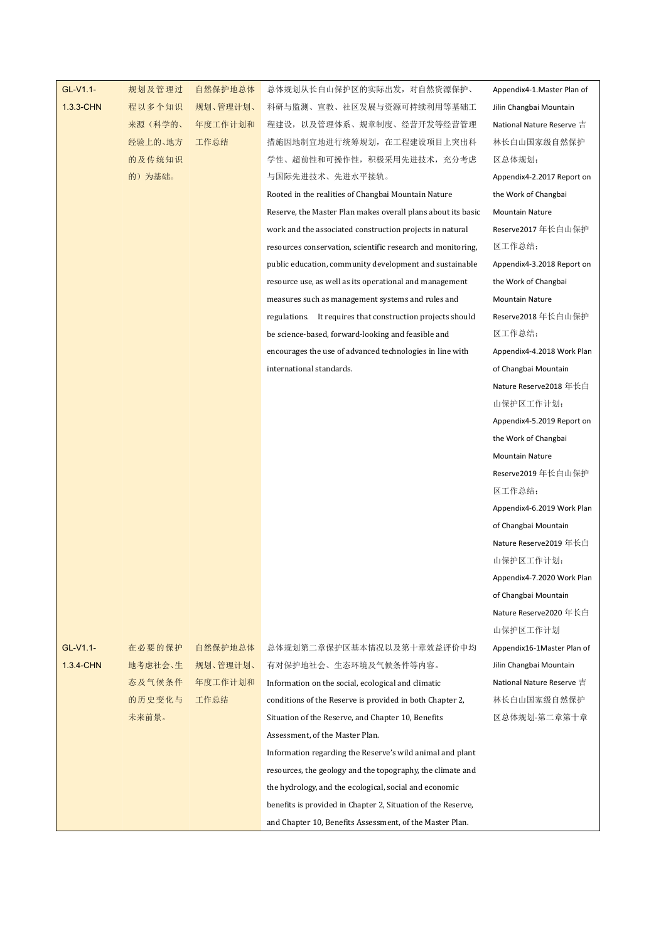| 规划、管理计划、<br>$1.3.3$ -CHN<br>程以多个知识<br>科研与监测、宣教、社区发展与资源可持续利用等基础工<br>Jilin Changbai Mountain<br>来源(科学的、<br>年度工作计划和<br>程建设, 以及管理体系、规章制度、经营开发等经营管理<br>National Nature Reserve 吉<br>经验上的、地方<br>工作总结<br>措施因地制宜地进行统筹规划, 在工程建设项目上突出科<br>林长白山国家级自然保护<br>学性、超前性和可操作性, 积极采用先进技术, 充分考虑<br>的及传统知识<br>区总体规划;<br>的)为基础。<br>与国际先进技术、先进水平接轨。<br>Appendix4-2.2017 Report on<br>Rooted in the realities of Changbai Mountain Nature<br>the Work of Changbai<br>Reserve, the Master Plan makes overall plans about its basic<br><b>Mountain Nature</b><br>Reserve2017 年长白山保护<br>work and the associated construction projects in natural<br>区工作总结;<br>resources conservation, scientific research and monitoring,<br>Appendix4-3.2018 Report on<br>public education, community development and sustainable<br>resource use, as well as its operational and management<br>the Work of Changbai<br>measures such as management systems and rules and<br>Mountain Nature<br>Reserve2018年长白山保护<br>regulations. It requires that construction projects should<br>be science-based, forward-looking and feasible and<br>区工作总结;<br>Appendix4-4.2018 Work Plan<br>encourages the use of advanced technologies in line with<br>international standards.<br>of Changbai Mountain<br>Nature Reserve2018 年长白<br>山保护区工作计划;<br>Appendix4-5.2019 Report on<br>the Work of Changbai<br><b>Mountain Nature</b><br>Reserve2019年长白山保护<br>区工作总结;<br>Appendix4-6.2019 Work Plan<br>of Changbai Mountain<br>Nature Reserve2019 年长白 |
|------------------------------------------------------------------------------------------------------------------------------------------------------------------------------------------------------------------------------------------------------------------------------------------------------------------------------------------------------------------------------------------------------------------------------------------------------------------------------------------------------------------------------------------------------------------------------------------------------------------------------------------------------------------------------------------------------------------------------------------------------------------------------------------------------------------------------------------------------------------------------------------------------------------------------------------------------------------------------------------------------------------------------------------------------------------------------------------------------------------------------------------------------------------------------------------------------------------------------------------------------------------------------------------------------------------------------------------------------------------------------------------------------------------------------------------------------------------------------------------|
|                                                                                                                                                                                                                                                                                                                                                                                                                                                                                                                                                                                                                                                                                                                                                                                                                                                                                                                                                                                                                                                                                                                                                                                                                                                                                                                                                                                                                                                                                          |
|                                                                                                                                                                                                                                                                                                                                                                                                                                                                                                                                                                                                                                                                                                                                                                                                                                                                                                                                                                                                                                                                                                                                                                                                                                                                                                                                                                                                                                                                                          |
|                                                                                                                                                                                                                                                                                                                                                                                                                                                                                                                                                                                                                                                                                                                                                                                                                                                                                                                                                                                                                                                                                                                                                                                                                                                                                                                                                                                                                                                                                          |
|                                                                                                                                                                                                                                                                                                                                                                                                                                                                                                                                                                                                                                                                                                                                                                                                                                                                                                                                                                                                                                                                                                                                                                                                                                                                                                                                                                                                                                                                                          |
|                                                                                                                                                                                                                                                                                                                                                                                                                                                                                                                                                                                                                                                                                                                                                                                                                                                                                                                                                                                                                                                                                                                                                                                                                                                                                                                                                                                                                                                                                          |
|                                                                                                                                                                                                                                                                                                                                                                                                                                                                                                                                                                                                                                                                                                                                                                                                                                                                                                                                                                                                                                                                                                                                                                                                                                                                                                                                                                                                                                                                                          |
|                                                                                                                                                                                                                                                                                                                                                                                                                                                                                                                                                                                                                                                                                                                                                                                                                                                                                                                                                                                                                                                                                                                                                                                                                                                                                                                                                                                                                                                                                          |
|                                                                                                                                                                                                                                                                                                                                                                                                                                                                                                                                                                                                                                                                                                                                                                                                                                                                                                                                                                                                                                                                                                                                                                                                                                                                                                                                                                                                                                                                                          |
|                                                                                                                                                                                                                                                                                                                                                                                                                                                                                                                                                                                                                                                                                                                                                                                                                                                                                                                                                                                                                                                                                                                                                                                                                                                                                                                                                                                                                                                                                          |
|                                                                                                                                                                                                                                                                                                                                                                                                                                                                                                                                                                                                                                                                                                                                                                                                                                                                                                                                                                                                                                                                                                                                                                                                                                                                                                                                                                                                                                                                                          |
|                                                                                                                                                                                                                                                                                                                                                                                                                                                                                                                                                                                                                                                                                                                                                                                                                                                                                                                                                                                                                                                                                                                                                                                                                                                                                                                                                                                                                                                                                          |
|                                                                                                                                                                                                                                                                                                                                                                                                                                                                                                                                                                                                                                                                                                                                                                                                                                                                                                                                                                                                                                                                                                                                                                                                                                                                                                                                                                                                                                                                                          |
|                                                                                                                                                                                                                                                                                                                                                                                                                                                                                                                                                                                                                                                                                                                                                                                                                                                                                                                                                                                                                                                                                                                                                                                                                                                                                                                                                                                                                                                                                          |
|                                                                                                                                                                                                                                                                                                                                                                                                                                                                                                                                                                                                                                                                                                                                                                                                                                                                                                                                                                                                                                                                                                                                                                                                                                                                                                                                                                                                                                                                                          |
|                                                                                                                                                                                                                                                                                                                                                                                                                                                                                                                                                                                                                                                                                                                                                                                                                                                                                                                                                                                                                                                                                                                                                                                                                                                                                                                                                                                                                                                                                          |
|                                                                                                                                                                                                                                                                                                                                                                                                                                                                                                                                                                                                                                                                                                                                                                                                                                                                                                                                                                                                                                                                                                                                                                                                                                                                                                                                                                                                                                                                                          |
|                                                                                                                                                                                                                                                                                                                                                                                                                                                                                                                                                                                                                                                                                                                                                                                                                                                                                                                                                                                                                                                                                                                                                                                                                                                                                                                                                                                                                                                                                          |
|                                                                                                                                                                                                                                                                                                                                                                                                                                                                                                                                                                                                                                                                                                                                                                                                                                                                                                                                                                                                                                                                                                                                                                                                                                                                                                                                                                                                                                                                                          |
|                                                                                                                                                                                                                                                                                                                                                                                                                                                                                                                                                                                                                                                                                                                                                                                                                                                                                                                                                                                                                                                                                                                                                                                                                                                                                                                                                                                                                                                                                          |
|                                                                                                                                                                                                                                                                                                                                                                                                                                                                                                                                                                                                                                                                                                                                                                                                                                                                                                                                                                                                                                                                                                                                                                                                                                                                                                                                                                                                                                                                                          |
|                                                                                                                                                                                                                                                                                                                                                                                                                                                                                                                                                                                                                                                                                                                                                                                                                                                                                                                                                                                                                                                                                                                                                                                                                                                                                                                                                                                                                                                                                          |
|                                                                                                                                                                                                                                                                                                                                                                                                                                                                                                                                                                                                                                                                                                                                                                                                                                                                                                                                                                                                                                                                                                                                                                                                                                                                                                                                                                                                                                                                                          |
|                                                                                                                                                                                                                                                                                                                                                                                                                                                                                                                                                                                                                                                                                                                                                                                                                                                                                                                                                                                                                                                                                                                                                                                                                                                                                                                                                                                                                                                                                          |
|                                                                                                                                                                                                                                                                                                                                                                                                                                                                                                                                                                                                                                                                                                                                                                                                                                                                                                                                                                                                                                                                                                                                                                                                                                                                                                                                                                                                                                                                                          |
|                                                                                                                                                                                                                                                                                                                                                                                                                                                                                                                                                                                                                                                                                                                                                                                                                                                                                                                                                                                                                                                                                                                                                                                                                                                                                                                                                                                                                                                                                          |
|                                                                                                                                                                                                                                                                                                                                                                                                                                                                                                                                                                                                                                                                                                                                                                                                                                                                                                                                                                                                                                                                                                                                                                                                                                                                                                                                                                                                                                                                                          |
| 山保护区工作计划;                                                                                                                                                                                                                                                                                                                                                                                                                                                                                                                                                                                                                                                                                                                                                                                                                                                                                                                                                                                                                                                                                                                                                                                                                                                                                                                                                                                                                                                                                |
| Appendix4-7.2020 Work Plan                                                                                                                                                                                                                                                                                                                                                                                                                                                                                                                                                                                                                                                                                                                                                                                                                                                                                                                                                                                                                                                                                                                                                                                                                                                                                                                                                                                                                                                               |
| of Changbai Mountain                                                                                                                                                                                                                                                                                                                                                                                                                                                                                                                                                                                                                                                                                                                                                                                                                                                                                                                                                                                                                                                                                                                                                                                                                                                                                                                                                                                                                                                                     |
| Nature Reserve2020 年长白                                                                                                                                                                                                                                                                                                                                                                                                                                                                                                                                                                                                                                                                                                                                                                                                                                                                                                                                                                                                                                                                                                                                                                                                                                                                                                                                                                                                                                                                   |
| 山保护区工作计划                                                                                                                                                                                                                                                                                                                                                                                                                                                                                                                                                                                                                                                                                                                                                                                                                                                                                                                                                                                                                                                                                                                                                                                                                                                                                                                                                                                                                                                                                 |
| GL-V1.1-<br>在必要的保护<br>自然保护地总体<br>总体规划第二章保护区基本情况以及第十章效益评价中均<br>Appendix16-1Master Plan of                                                                                                                                                                                                                                                                                                                                                                                                                                                                                                                                                                                                                                                                                                                                                                                                                                                                                                                                                                                                                                                                                                                                                                                                                                                                                                                                                                                                 |
| 1.3.4-CHN<br>地考虑社会、生<br>规划、管理计划、<br>有对保护地社会、生态环境及气候条件等内容。<br>Jilin Changbai Mountain                                                                                                                                                                                                                                                                                                                                                                                                                                                                                                                                                                                                                                                                                                                                                                                                                                                                                                                                                                                                                                                                                                                                                                                                                                                                                                                                                                                                     |
| 态及气候条件<br>年度工作计划和<br>National Nature Reserve 吉<br>Information on the social, ecological and climatic                                                                                                                                                                                                                                                                                                                                                                                                                                                                                                                                                                                                                                                                                                                                                                                                                                                                                                                                                                                                                                                                                                                                                                                                                                                                                                                                                                                     |
| 的历史变化与<br>工作总结<br>林长白山国家级自然保护<br>conditions of the Reserve is provided in both Chapter 2,                                                                                                                                                                                                                                                                                                                                                                                                                                                                                                                                                                                                                                                                                                                                                                                                                                                                                                                                                                                                                                                                                                                                                                                                                                                                                                                                                                                                |
| 未来前景。<br>区总体规划-第二章第十章<br>Situation of the Reserve, and Chapter 10, Benefits                                                                                                                                                                                                                                                                                                                                                                                                                                                                                                                                                                                                                                                                                                                                                                                                                                                                                                                                                                                                                                                                                                                                                                                                                                                                                                                                                                                                              |
| Assessment, of the Master Plan.                                                                                                                                                                                                                                                                                                                                                                                                                                                                                                                                                                                                                                                                                                                                                                                                                                                                                                                                                                                                                                                                                                                                                                                                                                                                                                                                                                                                                                                          |
| Information regarding the Reserve's wild animal and plant                                                                                                                                                                                                                                                                                                                                                                                                                                                                                                                                                                                                                                                                                                                                                                                                                                                                                                                                                                                                                                                                                                                                                                                                                                                                                                                                                                                                                                |
| resources, the geology and the topography, the climate and                                                                                                                                                                                                                                                                                                                                                                                                                                                                                                                                                                                                                                                                                                                                                                                                                                                                                                                                                                                                                                                                                                                                                                                                                                                                                                                                                                                                                               |
| the hydrology, and the ecological, social and economic                                                                                                                                                                                                                                                                                                                                                                                                                                                                                                                                                                                                                                                                                                                                                                                                                                                                                                                                                                                                                                                                                                                                                                                                                                                                                                                                                                                                                                   |
| benefits is provided in Chapter 2, Situation of the Reserve,                                                                                                                                                                                                                                                                                                                                                                                                                                                                                                                                                                                                                                                                                                                                                                                                                                                                                                                                                                                                                                                                                                                                                                                                                                                                                                                                                                                                                             |
| and Chapter 10, Benefits Assessment, of the Master Plan.                                                                                                                                                                                                                                                                                                                                                                                                                                                                                                                                                                                                                                                                                                                                                                                                                                                                                                                                                                                                                                                                                                                                                                                                                                                                                                                                                                                                                                 |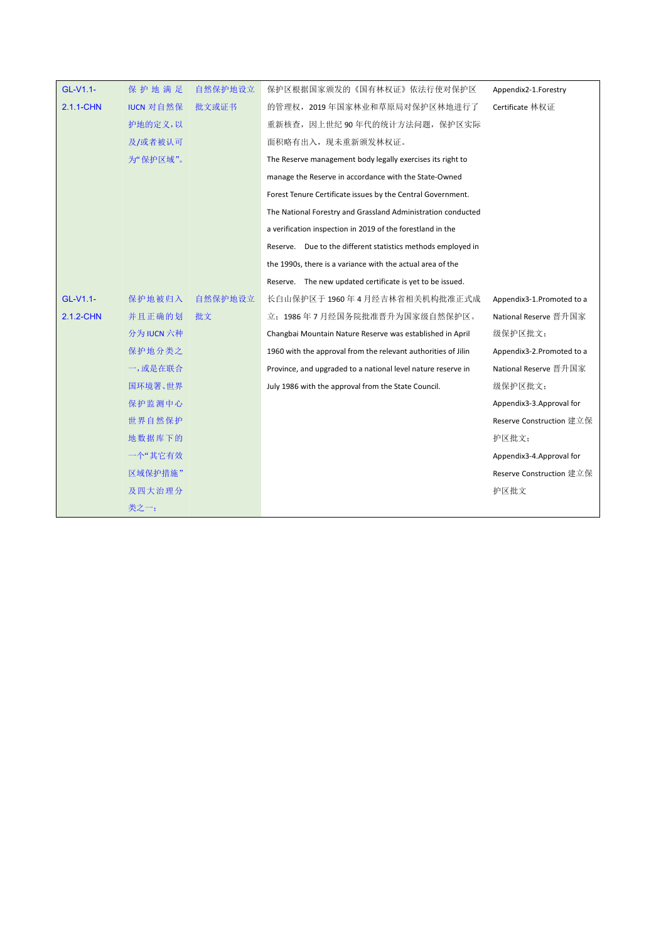| GL-V1.1-  | 保护地满足            | 自然保护地设立 | 保护区根据国家颁发的《国有林权证》依法行使对保护区                                     | Appendix2-1.Forestry      |
|-----------|------------------|---------|---------------------------------------------------------------|---------------------------|
| 2.1.1-CHN | <b>IUCN 对自然保</b> | 批文或证书   | 的管理权, 2019年国家林业和草原局对保护区林地进行了                                  | Certificate 林权证           |
|           | 护地的定义,以          |         | 重新核查,因上世纪90年代的统计方法问题,保护区实际                                    |                           |
|           | 及/或者被认可          |         | 面积略有出入, 现未重新颁发林权证。                                            |                           |
|           | 为"保护区域"。         |         | The Reserve management body legally exercises its right to    |                           |
|           |                  |         | manage the Reserve in accordance with the State-Owned         |                           |
|           |                  |         | Forest Tenure Certificate issues by the Central Government.   |                           |
|           |                  |         | The National Forestry and Grassland Administration conducted  |                           |
|           |                  |         | a verification inspection in 2019 of the forestland in the    |                           |
|           |                  |         | Reserve. Due to the different statistics methods employed in  |                           |
|           |                  |         | the 1990s, there is a variance with the actual area of the    |                           |
|           |                  |         | Reserve. The new updated certificate is yet to be issued.     |                           |
| GL-V1.1-  | 保护地被归入           | 自然保护地设立 | 长白山保护区于 1960年4月经吉林省相关机构批准正式成                                  | Appendix3-1.Promoted to a |
| 2.1.2-CHN | 并且正确的划           | 批文      | 立; 1986年7月经国务院批准晋升为国家级自然保护区。                                  | National Reserve 晋升国家     |
|           | 分为 IUCN 六种       |         | Changbai Mountain Nature Reserve was established in April     | 级保护区批文;                   |
|           | 保护地分类之           |         | 1960 with the approval from the relevant authorities of Jilin | Appendix3-2.Promoted to a |
|           | 一,或是在联合          |         | Province, and upgraded to a national level nature reserve in  | National Reserve 晋升国家     |
|           | 国环境署、世界          |         | July 1986 with the approval from the State Council.           | 级保护区批文;                   |
|           | 保护监测中心           |         |                                                               | Appendix3-3.Approval for  |
|           | 世界自然保护           |         |                                                               | Reserve Construction 建立保  |
|           | 地数据库下的           |         |                                                               | 护区批文;                     |
|           | 一个"其它有效          |         |                                                               | Appendix3-4.Approval for  |
|           | 区域保护措施"          |         |                                                               | Reserve Construction 建立保  |
|           | 及四大治理分           |         |                                                               | 护区批文                      |
|           | 类之一;             |         |                                                               |                           |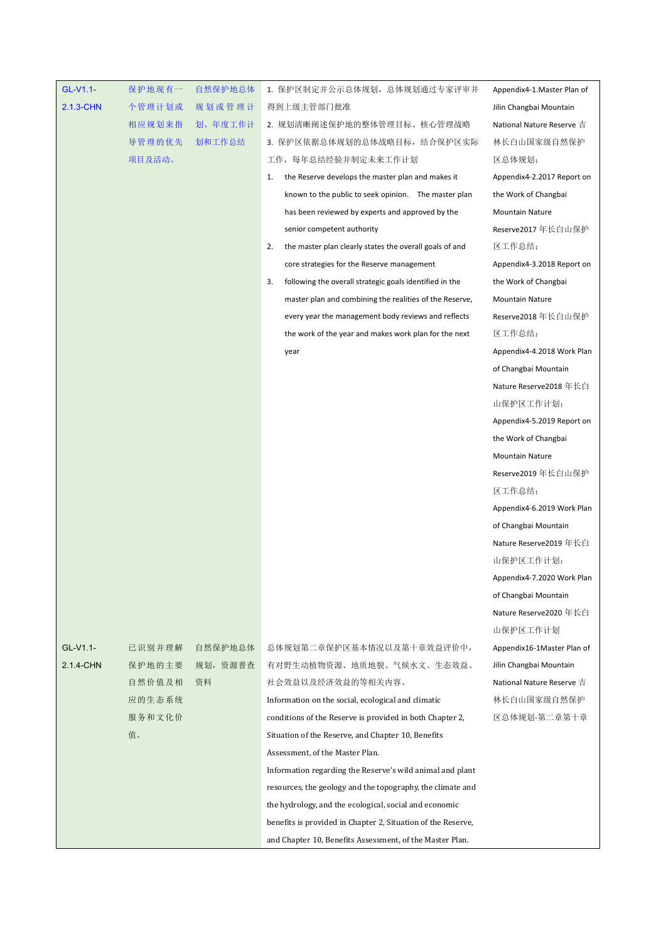| GL-V1.1-  | 保护地现有一 | 自然保护地总体  | 1. 保护区制定并公示总体规划, 总体规划通过专家评审并                                  | Appendix4-1.Master Plan of |
|-----------|--------|----------|---------------------------------------------------------------|----------------------------|
| 2.1.3-CHN | 个管理计划或 | 规划或管理计   | 得到上级主管部门批准                                                    | Jilin Changbai Mountain    |
|           | 相应规划来指 | 划、年度工作计  | 2. 规划清晰阐述保护地的整体管理目标、核心管理战略                                    | National Nature Reserve 吉  |
|           | 导管理的优先 | 划和工作总结   | 3. 保护区依据总体规划的总体战略目标, 结合保护区实际                                  | 林长白山国家级自然保护                |
|           | 项目及活动。 |          | 工作, 每年总结经验并制定未来工作计划                                           | 区总体规划;                     |
|           |        |          | the Reserve develops the master plan and makes it<br>1.       | Appendix4-2.2017 Report on |
|           |        |          | known to the public to seek opinion. The master plan          | the Work of Changbai       |
|           |        |          | has been reviewed by experts and approved by the              | <b>Mountain Nature</b>     |
|           |        |          | senior competent authority                                    | Reserve2017 年长白山保护         |
|           |        |          | the master plan clearly states the overall goals of and<br>2. | 区工作总结;                     |
|           |        |          | core strategies for the Reserve management                    | Appendix4-3.2018 Report on |
|           |        |          | following the overall strategic goals identified in the<br>3. | the Work of Changbai       |
|           |        |          | master plan and combining the realities of the Reserve,       | <b>Mountain Nature</b>     |
|           |        |          | every year the management body reviews and reflects           | Reserve2018 年长白山保护         |
|           |        |          | the work of the year and makes work plan for the next         | 区工作总结;                     |
|           |        |          | year                                                          | Appendix4-4.2018 Work Plan |
|           |        |          |                                                               | of Changbai Mountain       |
|           |        |          |                                                               | Nature Reserve2018 年长白     |
|           |        |          |                                                               | 山保护区工作计划;                  |
|           |        |          |                                                               | Appendix4-5.2019 Report on |
|           |        |          |                                                               | the Work of Changbai       |
|           |        |          |                                                               | Mountain Nature            |
|           |        |          |                                                               | Reserve2019年长白山保护          |
|           |        |          |                                                               | 区工作总结;                     |
|           |        |          |                                                               | Appendix4-6.2019 Work Plan |
|           |        |          |                                                               | of Changbai Mountain       |
|           |        |          |                                                               | Nature Reserve2019 年长白     |
|           |        |          |                                                               | 山保护区工作计划;                  |
|           |        |          |                                                               | Appendix4-7.2020 Work Plan |
|           |        |          |                                                               | of Changbai Mountain       |
|           |        |          |                                                               | Nature Reserve2020年长白      |
|           |        |          |                                                               | 山保护区工作计划                   |
| GL-V1.1-  | 已识别并理解 | 自然保护地总体  | 总体规划第二章保护区基本情况以及第十章效益评价中,                                     | Appendix16-1Master Plan of |
| 2.1.4-CHN | 保护地的主要 | 规划, 资源普查 | 有对野生动植物资源、地质地貌、气候水文、生态效益、                                     | Jilin Changbai Mountain    |
|           | 自然价值及相 | 资料       | 社会效益以及经济效益的等相关内容。                                             | National Nature Reserve 吉  |
|           | 应的生态系统 |          | Information on the social, ecological and climatic            | 林长白山国家级自然保护                |
|           | 服务和文化价 |          | conditions of the Reserve is provided in both Chapter 2,      | 区总体规划-第二章第十章               |
|           | 值。     |          | Situation of the Reserve, and Chapter 10, Benefits            |                            |
|           |        |          | Assessment, of the Master Plan.                               |                            |
|           |        |          | Information regarding the Reserve's wild animal and plant     |                            |
|           |        |          | resources, the geology and the topography, the climate and    |                            |
|           |        |          | the hydrology, and the ecological, social and economic        |                            |
|           |        |          | benefits is provided in Chapter 2, Situation of the Reserve,  |                            |
|           |        |          | and Chapter 10, Benefits Assessment, of the Master Plan.      |                            |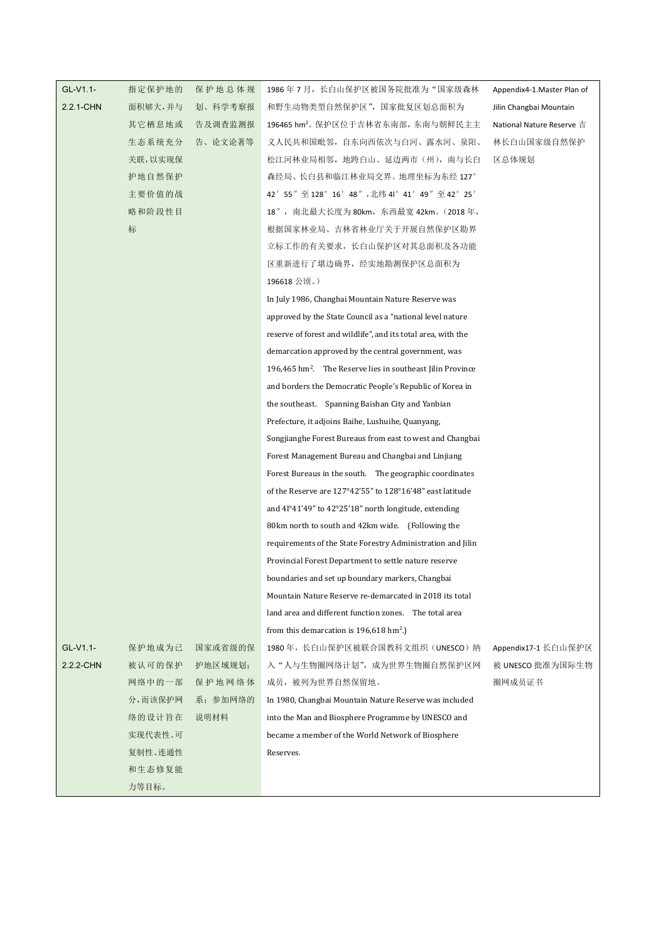| GL-V1.1-  | 指定保护地的  | 保护地总体规   | 1986 年 7 月,长白山保护区被国务院批准为"国家级森林                                         | Appendix4-1. Master Plan of |
|-----------|---------|----------|------------------------------------------------------------------------|-----------------------------|
| 2.2.1-CHN | 面积够大,并与 | 划、科学考察报  | 和野生动物类型自然保护区", 国家批复区划总面积为                                              | Jilin Changbai Mountain     |
|           | 其它栖息地或  | 告及调查监测报  | 196465 hm2。保护区位于吉林省东南部, 东南与朝鲜民主主                                       | National Nature Reserve 吉   |
|           | 生态系统充分  | 告、论文论著等  | 义人民共和国毗邻, 自东向西依次与自河、露水河、泉阳、                                            | 林长白山国家级自然保护                 |
|           | 关联,以实现保 |          | 松江河林业局相邻,地跨白山、延边两市(州),南与长白                                             | 区总体规划                       |
|           | 护地自然保护  |          | 森经局、长白县和临江林业局交界。地理坐标为东经 127°                                           |                             |
|           | 主要价值的战  |          | 42' 55" 至 128° 16' 48", 北纬 41° 41' 49" 至 42° 25'                       |                             |
|           | 略和阶段性目  |          | 18", 南北最大长度为 80km, 东西最宽 42km。(2018年,                                   |                             |
|           | 标       |          | 根据国家林业局、吉林省林业厅关于开展自然保护区勘界                                              |                             |
|           |         |          | 立标工作的有关要求,长白山保护区对其总面积及各功能                                              |                             |
|           |         |          | 区重新进行了堪边确界, 经实地勘测保护区总面积为                                               |                             |
|           |         |          | 196618 公顷。)                                                            |                             |
|           |         |          | In July 1986, Changbai Mountain Nature Reserve was                     |                             |
|           |         |          | approved by the State Council as a "national level nature"             |                             |
|           |         |          | reserve of forest and wildlife", and its total area, with the          |                             |
|           |         |          | demarcation approved by the central government, was                    |                             |
|           |         |          | 196,465 hm <sup>2</sup> . The Reserve lies in southeast Jilin Province |                             |
|           |         |          | and borders the Democratic People's Republic of Korea in               |                             |
|           |         |          | the southeast. Spanning Baishan City and Yanbian                       |                             |
|           |         |          | Prefecture, it adjoins Baihe, Lushuihe, Quanyang,                      |                             |
|           |         |          | Songjianghe Forest Bureaus from east to west and Changbai              |                             |
|           |         |          | Forest Management Bureau and Changbai and Linjiang                     |                             |
|           |         |          | Forest Bureaus in the south. The geographic coordinates                |                             |
|           |         |          | of the Reserve are 127°42'55" to 128°16'48" east latitude              |                             |
|           |         |          | and 4 <sup>1</sup> °41'49" to 42°25'18" north longitude, extending     |                             |
|           |         |          | 80km north to south and 42km wide. (Following the                      |                             |
|           |         |          | requirements of the State Forestry Administration and Jilin            |                             |
|           |         |          | Provincial Forest Department to settle nature reserve                  |                             |
|           |         |          | boundaries and set up boundary markers, Changbai                       |                             |
|           |         |          | Mountain Nature Reserve re-demarcated in 2018 its total                |                             |
|           |         |          | land area and different function zones. The total area                 |                             |
|           |         |          | from this demarcation is $196,618$ hm <sup>2</sup> .)                  |                             |
| GL-V1.1-  | 保护地成为己  | 国家或省级的保  | 1980年, 长白山保护区被联合国教科文组织(UNESCO) 纳                                       | Appendix17-1 长白山保护区         |
| 2.2.2-CHN | 被认可的保护  | 护地区域规划;  | 入"人与生物圈网络计划", 成为世界生物圈自然保护区网                                            | 被 UNESCO 批准为国际生物            |
|           | 网络中的一部  | 保护地网络体   | 成员, 被列为世界自然保留地。                                                        | 圈网成员证书                      |
|           | 分,而该保护网 | 系; 参加网络的 | In 1980, Changbai Mountain Nature Reserve was included                 |                             |
|           | 络的设计旨在  | 说明材料     | into the Man and Biosphere Programme by UNESCO and                     |                             |
|           | 实现代表性、可 |          | became a member of the World Network of Biosphere                      |                             |
|           | 复制性、连通性 |          | Reserves.                                                              |                             |
|           | 和生态修复能  |          |                                                                        |                             |
|           | 力等目标。   |          |                                                                        |                             |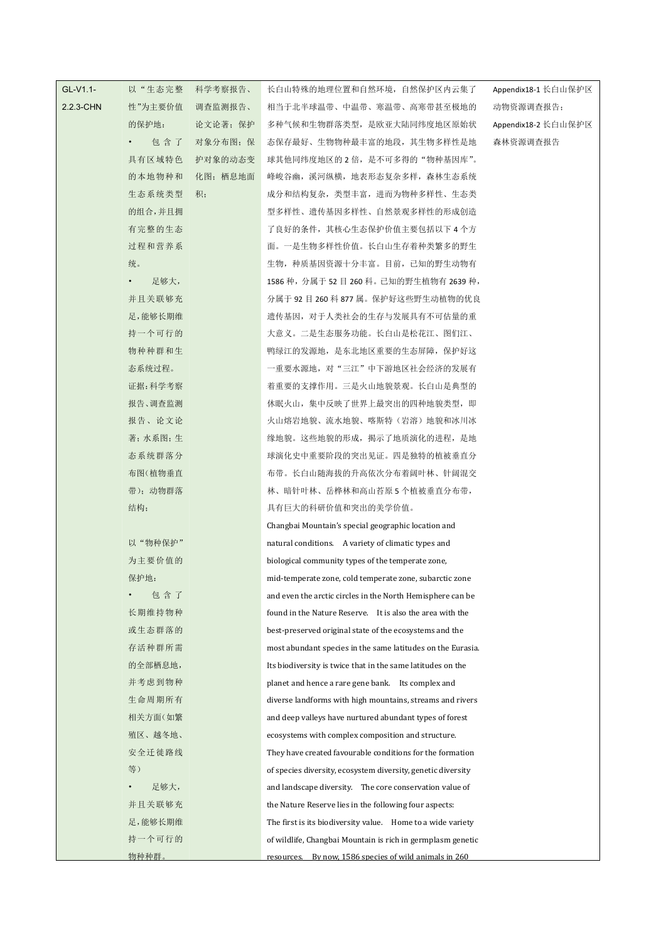| GL-V1.1-  | 以"生态完整            | 科学考察报告、  | 长白山特殊的地理位置和自然环境, 自然保护区内云集了                                   | Appendix18-1 长白山保护区 |
|-----------|-------------------|----------|--------------------------------------------------------------|---------------------|
| 2.2.3-CHN | 性"为主要价值           | 调查监测报告、  | 相当于北半球温带、中温带、寒温带、高寒带甚至极地的                                    | 动物资源调查报告;           |
|           | 的保护地:             | 论文论著; 保护 | 多种气候和生物群落类型, 是欧亚大陆同纬度地区原始状                                   | Appendix18-2 长白山保护区 |
|           | 包含了               | 对象分布图; 保 | 态保存最好、生物物种最丰富的地段,其生物多样性是地                                    | 森林资源调查报告            |
|           | 具有区域特色            | 护对象的动态变  | 球其他同纬度地区的2倍,是不可多得的"物种基因库"。                                   |                     |
|           | 的本地物种和            | 化图; 栖息地面 | 峰峻谷幽,溪河纵横,地表形态复杂多样,森林生态系统                                    |                     |
|           | 生态系统类型            | 积;       | 成分和结构复杂, 类型丰富, 进而为物种多样性、生态类                                  |                     |
|           | 的组合,并且拥           |          | 型多样性、遗传基因多样性、自然景观多样性的形成创造                                    |                     |
|           | 有完整的生态            |          | 了良好的条件, 其核心生态保护价值主要包括以下 4 个方                                 |                     |
|           | 过程和营养系            |          | 面。一是生物多样性价值。长自山生存着种类繁多的野生                                    |                     |
|           | 统。                |          | 生物,种质基因资源十分丰富。目前,已知的野生动物有                                    |                     |
|           | 足够大,<br>$\bullet$ |          | 1586 种, 分属于 52 目 260 科。已知的野生植物有 2639 种,                      |                     |
|           | 并且关联够充            |          | 分属于 92 目 260 科 877 属。保护好这些野生动植物的优良                           |                     |
|           | 足,能够长期维           |          | 遗传基因, 对于人类社会的生存与发展具有不可估量的重                                   |                     |
|           | 持一个可行的            |          | 大意义。二是生态服务功能。长自山是松花江、图们江、                                    |                     |
|           | 物种种群和生            |          | 鸭绿江的发源地,是东北地区重要的生态屏障,保护好这                                    |                     |
|           | 态系统过程。            |          | 一重要水源地, 对"三江"中下游地区社会经济的发展有                                   |                     |
|           | 证据:科学考察           |          | 着重要的支撑作用。三是火山地貌景观。长白山是典型的                                    |                     |
|           | 报告、调查监测           |          | 休眠火山, 集中反映了世界上最突出的四种地貌类型, 即                                  |                     |
|           | 报告、论文论            |          | 火山熔岩地貌、流水地貌、喀斯特(岩溶)地貌和冰川冰                                    |                     |
|           | 著;水系图;生           |          | 缘地貌。这些地貌的形成, 揭示了地质演化的进程, 是地                                  |                     |
|           | 态系统群落分            |          | 球演化史中重要阶段的突出见证。四是独特的植被垂直分                                    |                     |
|           | 布图(植物垂直           |          | 布带。长白山随海拔的升高依次分布着阔叶林、针阔混交                                    |                     |
|           | 带); 动物群落          |          | 林、暗针叶林、岳桦林和高山苔原 5 个植被垂直分布带,                                  |                     |
|           | 结构;               |          | 具有巨大的科研价值和突出的美学价值。                                           |                     |
|           |                   |          | Changbai Mountain's special geographic location and          |                     |
|           | 以"物种保护"           |          | natural conditions. A variety of climatic types and          |                     |
|           | 为主要价值的            |          | biological community types of the temperate zone,            |                     |
|           | 保护地:              |          | mid-temperate zone, cold temperate zone, subarctic zone      |                     |
|           | 包含了               |          | and even the arctic circles in the North Hemisphere can be   |                     |
|           | 长期维持物种            |          | found in the Nature Reserve. It is also the area with the    |                     |
|           | 或生态群落的            |          | best-preserved original state of the ecosystems and the      |                     |
|           | 存活种群所需            |          | most abundant species in the same latitudes on the Eurasia.  |                     |
|           | 的全部栖息地,           |          | Its biodiversity is twice that in the same latitudes on the  |                     |
|           | 并考虑到物种            |          | planet and hence a rare gene bank. Its complex and           |                     |
|           | 生命周期所有            |          | diverse landforms with high mountains, streams and rivers    |                     |
|           | 相关方面(如繁           |          | and deep valleys have nurtured abundant types of forest      |                     |
|           | 殖区、越冬地、           |          | ecosystems with complex composition and structure.           |                     |
|           | 安全迁徙路线            |          | They have created favourable conditions for the formation    |                     |
|           | 等)                |          | of species diversity, ecosystem diversity, genetic diversity |                     |
|           | 足够大,              |          | and landscape diversity. The core conservation value of      |                     |
|           | 并且关联够充            |          | the Nature Reserve lies in the following four aspects:       |                     |
|           | 足,能够长期维           |          | The first is its biodiversity value. Home to a wide variety  |                     |
|           | 持一个可行的            |          | of wildlife, Changbai Mountain is rich in germplasm genetic  |                     |
|           | 物种种群。             |          | resources. By now. 1586 species of wild animals in 260       |                     |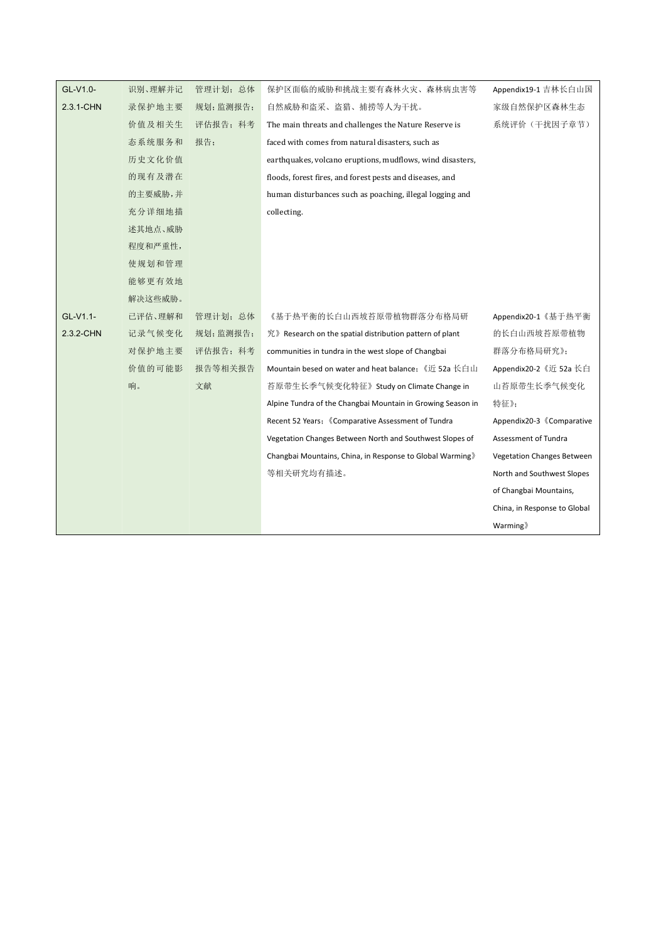| GL-V1.0-  | 识别、理解并记 | 管理计划;总体  | 保护区面临的威胁和挑战主要有森林火灾、森林病虫害等                                             | Appendix19-1 吉林长白山国          |
|-----------|---------|----------|-----------------------------------------------------------------------|------------------------------|
| 2.3.1-CHN | 录保护地主要  | 规划;监测报告; | 自然威胁和盗采、盗猎、捕捞等人为干扰。                                                   | 家级自然保护区森林生态                  |
|           | 价值及相关生  | 评估报告; 科考 | The main threats and challenges the Nature Reserve is                 | 系统评价(干扰因子章节)                 |
|           | 态系统服务和  | 报告;      | faced with comes from natural disasters, such as                      |                              |
|           | 历史文化价值  |          | earthquakes, volcano eruptions, mudflows, wind disasters,             |                              |
|           | 的现有及潜在  |          | floods, forest fires, and forest pests and diseases, and              |                              |
|           | 的主要威胁,并 |          | human disturbances such as poaching, illegal logging and              |                              |
|           | 充分详细地描  |          | collecting.                                                           |                              |
|           | 述其地点、威胁 |          |                                                                       |                              |
|           | 程度和严重性, |          |                                                                       |                              |
|           | 使规划和管理  |          |                                                                       |                              |
|           | 能够更有效地  |          |                                                                       |                              |
|           | 解决这些威胁。 |          |                                                                       |                              |
| GL-V1.1-  | 已评估、理解和 | 管理计划;总体  | 《基于热平衡的长白山西坡苔原带植物群落分布格局研                                              | Appendix20-1《基于热平衡           |
| 2.3.2-CHN | 记录气候变化  | 规划;监测报告; | $\mathcal{R}$ » Research on the spatial distribution pattern of plant | 的长白山西坡苔原带植物                  |
|           | 对保护地主要  | 评估报告; 科考 | communities in tundra in the west slope of Changbai                   | 群落分布格局研究》;                   |
|           | 价值的可能影  | 报告等相关报告  | Mountain besed on water and heat balance; 《近 52a 长白山                  | Appendix20-2 《近 52a 长白       |
|           | 响。      | 文献       | 苔原带生长季气候变化特征》Study on Climate Change in                               | 山苔原带生长季气候变化                  |
|           |         |          | Alpine Tundra of the Changbai Mountain in Growing Season in           | 特征》;                         |
|           |         |          | Recent 52 Years; 《Comparative Assessment of Tundra                    | Appendix20-3 《Comparative    |
|           |         |          | Vegetation Changes Between North and Southwest Slopes of              | Assessment of Tundra         |
|           |         |          | Changbai Mountains, China, in Response to Global Warming》             | Vegetation Changes Between   |
|           |         |          | 等相关研究均有描述。                                                            | North and Southwest Slopes   |
|           |         |          |                                                                       | of Changbai Mountains,       |
|           |         |          |                                                                       | China, in Response to Global |
|           |         |          |                                                                       | Warming                      |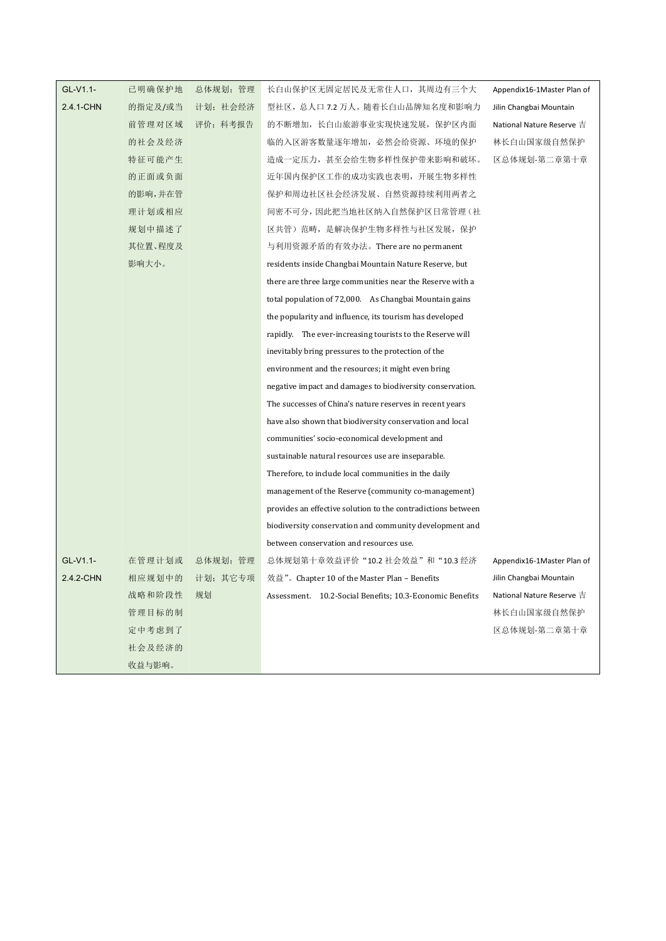| GL-V1.1-  | 已明确保护地  | 总体规划; 管理        | 长白山保护区无固定居民及无常住人口, 其周边有三个大                                   | Appendix16-1Master Plan of |
|-----------|---------|-----------------|--------------------------------------------------------------|----------------------------|
| 2.4.1-CHN | 的指定及/或当 | 计划; 社会经济        | 型社区, 总人口 7.2 万人。随着长白山品牌知名度和影响力                               | Jilin Changbai Mountain    |
|           | 前管理对区域  | 评价; 科考报告        | 的不断增加,长白山旅游事业实现快速发展,保护区内面                                    | National Nature Reserve 吉  |
|           | 的社会及经济  |                 | 临的入区游客数量逐年增加, 必然会给资源、环境的保护                                   | 林长白山国家级自然保护                |
|           | 特征可能产生  |                 | 造成一定压力, 甚至会给生物多样性保护带来影响和破坏。                                  | 区总体规划-第二章第十章               |
|           | 的正面或负面  |                 | 近年国内保护区工作的成功实践也表明,开展生物多样性                                    |                            |
|           | 的影响,并在管 |                 | 保护和周边社区社会经济发展、自然资源持续利用两者之                                    |                            |
|           | 理计划或相应  |                 | 间密不可分, 因此把当地社区纳入自然保护区日常管理(社                                  |                            |
|           | 规划中描述了  |                 | 区共管)范畴, 是解决保护生物多样性与社区发展, 保护                                  |                            |
|           | 其位置、程度及 |                 | 与利用资源矛盾的有效办法。There are no permanent                          |                            |
|           | 影响大小。   |                 | residents inside Changbai Mountain Nature Reserve, but       |                            |
|           |         |                 | there are three large communities near the Reserve with a    |                            |
|           |         |                 | total population of 72,000. As Changbai Mountain gains       |                            |
|           |         |                 | the popularity and influence, its tourism has developed      |                            |
|           |         |                 | rapidly. The ever-increasing tourists to the Reserve will    |                            |
|           |         |                 | inevitably bring pressures to the protection of the          |                            |
|           |         |                 | environment and the resources; it might even bring           |                            |
|           |         |                 | negative impact and damages to biodiversity conservation.    |                            |
|           |         |                 | The successes of China's nature reserves in recent years     |                            |
|           |         |                 | have also shown that biodiversity conservation and local     |                            |
|           |         |                 | communities' socio-economical development and                |                            |
|           |         |                 | sustainable natural resources use are inseparable.           |                            |
|           |         |                 | Therefore, to include local communities in the daily         |                            |
|           |         |                 | management of the Reserve (community co-management)          |                            |
|           |         |                 | provides an effective solution to the contradictions between |                            |
|           |         |                 | biodiversity conservation and community development and      |                            |
|           |         |                 | between conservation and resources use.                      |                            |
| GL-V1.1-  | 在管理计划或  | 总体规划; 管理        | 总体规划第十章效益评价"10.2 社会效益"和"10.3 经济                              | Appendix16-1Master Plan of |
| 2.4.2-CHN |         | 相应规划中的 计划; 其它专项 | 效益"。Chapter 10 of the Master Plan – Benefits                 | Jilin Changbai Mountain    |
|           | 战略和阶段性  | 规划              | Assessment. 10.2-Social Benefits; 10.3-Economic Benefits     | National Nature Reserve 吉  |
|           | 管理目标的制  |                 |                                                              | 林长白山国家级自然保护                |
|           | 定中考虑到了  |                 |                                                              | 区总体规划-第二章第十章               |
|           | 社会及经济的  |                 |                                                              |                            |
|           | 收益与影响。  |                 |                                                              |                            |
|           |         |                 |                                                              |                            |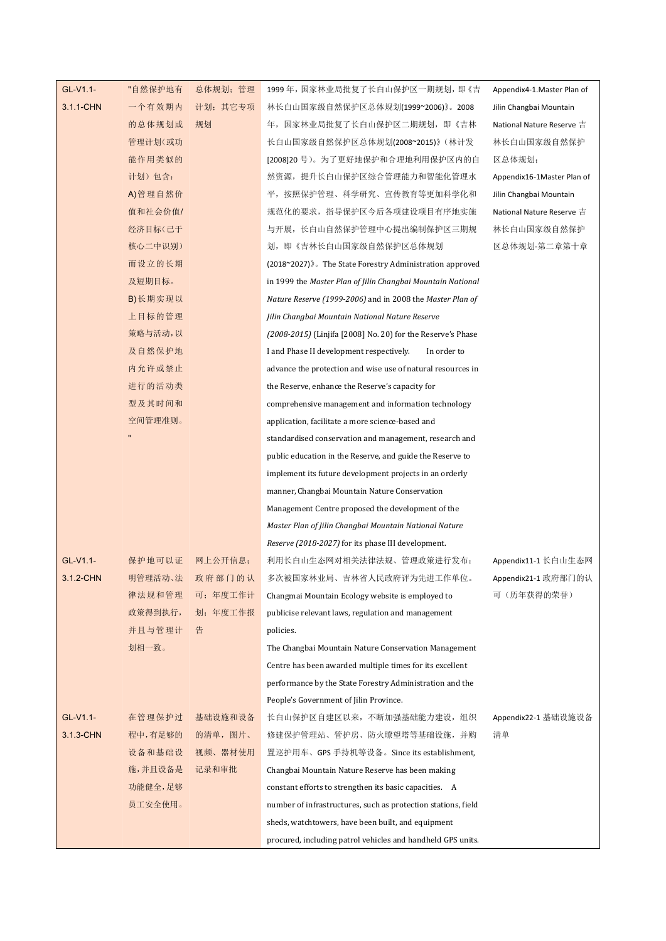| GL-V1.1-  | "自然保护地有 | 总体规划;管理  | 1999 年,国家林业局批复了长白山保护区一期规划,即《吉                                 | Appendix4-1.Master Plan of |
|-----------|---------|----------|---------------------------------------------------------------|----------------------------|
| 3.1.1-CHN | 一个有效期内  | 计划;其它专项  | 林长白山国家级自然保护区总体规划(1999~2006)》。2008                             | Jilin Changbai Mountain    |
|           | 的总体规划或  | 规划       | 年, 国家林业局批复了长白山保护区二期规划, 即《吉林                                   | National Nature Reserve 吉  |
|           | 管理计划(或功 |          | 长自山国家级自然保护区总体规划(2008~2015)》(林计发                               | 林长白山国家级自然保护                |
|           | 能作用类似的  |          | [2008]20号)。为了更好地保护和合理地利用保护区内的自                                | 区总体规划;                     |
|           | 计划)包含:  |          | 然资源, 提升长白山保护区综合管理能力和智能化管理水                                    | Appendix16-1Master Plan of |
|           | A)管理自然价 |          | 平,按照保护管理、科学研究、宣传教育等更加科学化和                                     | Jilin Changbai Mountain    |
|           | 值和社会价值/ |          | 规范化的要求, 指导保护区今后各项建设项目有序地实施                                    | National Nature Reserve 吉  |
|           | 经济目标(已于 |          | 与开展, 长白山自然保护管理中心提出编制保护区三期规                                    | 林长白山国家级自然保护                |
|           | 核心二中识别) |          | 划, 即《吉林长白山国家级自然保护区总体规划                                        | 区总体规划-第二章第十章               |
|           | 而设立的长期  |          | (2018~2027)». The State Forestry Administration approved      |                            |
|           | 及短期目标。  |          | in 1999 the Master Plan of Jilin Changbai Mountain National   |                            |
|           | B)长期实现以 |          | Nature Reserve (1999-2006) and in 2008 the Master Plan of     |                            |
|           | 上目标的管理  |          | Jilin Changbai Mountain National Nature Reserve               |                            |
|           | 策略与活动,以 |          | (2008-2015) (Linjifa [2008] No. 20) for the Reserve's Phase   |                            |
|           | 及自然保护地  |          | I and Phase II development respectively.<br>In order to       |                            |
|           | 内允许或禁止  |          | advance the protection and wise use of natural resources in   |                            |
|           | 进行的活动类  |          | the Reserve, enhance the Reserve's capacity for               |                            |
|           | 型及其时间和  |          | comprehensive management and information technology           |                            |
|           | 空间管理准则。 |          | application, facilitate a more science-based and              |                            |
|           |         |          | standardised conservation and management, research and        |                            |
|           |         |          | public education in the Reserve, and guide the Reserve to     |                            |
|           |         |          | implement its future development projects in an orderly       |                            |
|           |         |          | manner, Changbai Mountain Nature Conservation                 |                            |
|           |         |          | Management Centre proposed the development of the             |                            |
|           |         |          | Master Plan of Jilin Changbai Mountain National Nature        |                            |
|           |         |          | <i>Reserve (2018-2027)</i> for its phase III development.     |                            |
| GL-V1.1-  | 保护地可以证  | 网上公开信息;  | 利用长白山生态网对相关法律法规、管理政策进行发布;                                     | Appendix11-1 长白山生态网        |
| 3.1.2-CHN | 明管理活动、法 | 政府部门的认   | 多次被国家林业局、吉林省人民政府评为先进工作单位。                                     | Appendix21-1 政府部门的认        |
|           | 律法规和管理  | 可;年度工作计  | Changmai Mountain Ecology website is employed to              | 可(历年获得的荣誉)                 |
|           | 政策得到执行, | 划;年度工作报  | publicise relevant laws, regulation and management            |                            |
|           | 并且与管理计  | 告        | policies.                                                     |                            |
|           | 划相一致。   |          | The Changbai Mountain Nature Conservation Management          |                            |
|           |         |          | Centre has been awarded multiple times for its excellent      |                            |
|           |         |          | performance by the State Forestry Administration and the      |                            |
|           |         |          | People's Government of Jilin Province.                        |                            |
| GL-V1.1-  | 在管理保护过  | 基础设施和设备  | 长白山保护区自建区以来, 不断加强基础能力建设, 组织                                   | Appendix22-1 基础设施设备        |
| 3.1.3-CHN | 程中,有足够的 | 的清单, 图片、 | 修建保护管理站、管护房、防火瞭望塔等基础设施, 并购                                    | 清单                         |
|           | 设备和基础设  | 视频、器材使用  | 置巡护用车、GPS 手持机等设备。Since its establishment,                     |                            |
|           | 施,并且设备是 | 记录和审批    | Changbai Mountain Nature Reserve has been making              |                            |
|           | 功能健全,足够 |          | constant efforts to strengthen its basic capacities. A        |                            |
|           | 员工安全使用。 |          | number of infrastructures, such as protection stations, field |                            |
|           |         |          | sheds, watchtowers, have been built, and equipment            |                            |
|           |         |          | procured, including patrol vehicles and handheld GPS units.   |                            |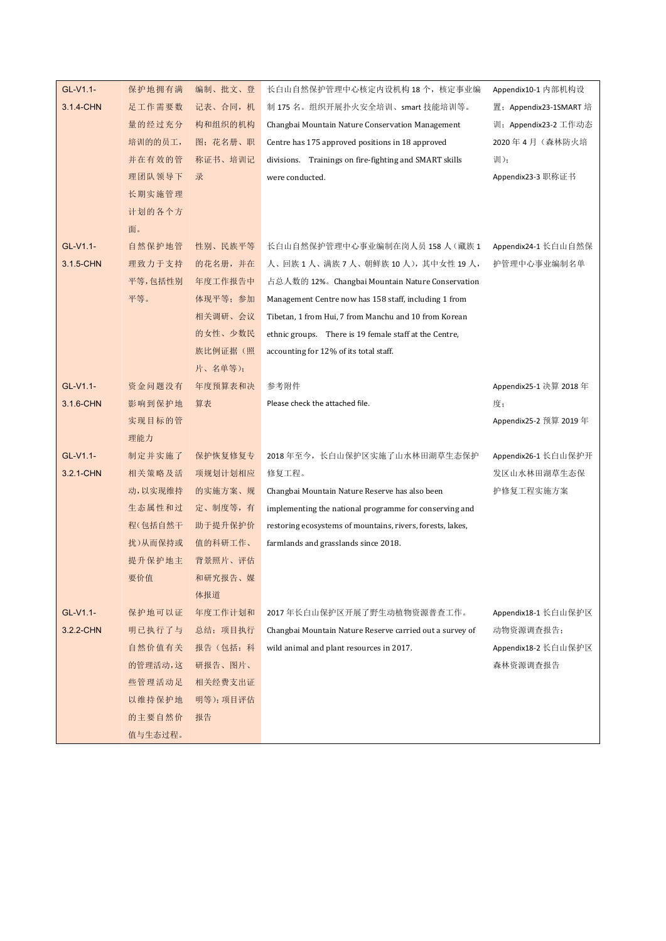| GL-V1.1-  | 保护地拥有满  | 编制、批文、登  | 长自山自然保护管理中心核定内设机构 18个,核定事业编                                | Appendix10-1 内部机构设     |
|-----------|---------|----------|------------------------------------------------------------|------------------------|
| 3.1.4-CHN | 足工作需要数  | 记表、合同, 机 | 制 175 名。组织开展扑火安全培训、smart 技能培训等。                            | 置; Appendix23-1SMART 培 |
|           | 量的经过充分  | 构和组织的机构  | Changbai Mountain Nature Conservation Management           | 训; Appendix23-2 工作动态   |
|           | 培训的的员工, | 图;花名册、职  | Centre has 175 approved positions in 18 approved           | 2020年4月 (森林防火培         |
|           | 并在有效的管  | 称证书、培训记  | divisions. Trainings on fire-fighting and SMART skills     | 训);                    |
|           | 理团队领导下  | 录        | were conducted.                                            | Appendix23-3 职称证书      |
|           | 长期实施管理  |          |                                                            |                        |
|           | 计划的各个方  |          |                                                            |                        |
|           | 面。      |          |                                                            |                        |
| GL-V1.1-  | 自然保护地管  | 性别、民族平等  | 长白山自然保护管理中心事业编制在岗人员 158 人 (藏族 1                            | Appendix24-1 长白山自然保    |
| 3.1.5-CHN | 理致力于支持  | 的花名册,并在  | 人、回族1人、满族7人、朝鲜族10人),其中女性19人,                               | 护管理中心事业编制名单            |
|           | 平等,包括性别 | 年度工作报告中  | 占总人数的 12%。Changbai Mountain Nature Conservation            |                        |
|           | 平等。     | 体现平等; 参加 | Management Centre now has 158 staff, including 1 from      |                        |
|           |         | 相关调研、会议  | Tibetan, 1 from Hui, 7 from Manchu and 10 from Korean      |                        |
|           |         | 的女性、少数民  | ethnic groups. There is 19 female staff at the Centre,     |                        |
|           |         | 族比例证据(照  | accounting for 12% of its total staff.                     |                        |
|           |         | 片、名单等);  |                                                            |                        |
| GL-V1.1-  | 资金问题没有  | 年度预算表和决  | 参考附件                                                       | Appendix25-1 决算 2018 年 |
| 3.1.6-CHN | 影响到保护地  | 算表       | Please check the attached file.                            | 度;                     |
|           | 实现目标的管  |          |                                                            | Appendix25-2 预算 2019 年 |
|           | 理能力     |          |                                                            |                        |
| GL-V1.1-  | 制定并实施了  | 保护恢复修复专  | 2018年至今, 长白山保护区实施了山水林田湖草生态保护                               | Appendix26-1 长白山保护开    |
| 3.2.1-CHN | 相关策略及活  | 项规划计划相应  | 修复工程。                                                      | 发区山水林田湖草生态保            |
|           | 动,以实现维持 | 的实施方案、规  | Changbai Mountain Nature Reserve has also been             | 护修复工程实施方案              |
|           | 生态属性和过  | 定、制度等,有  | implementing the national programme for conserving and     |                        |
|           | 程(包括自然干 | 助于提升保护价  | restoring ecosystems of mountains, rivers, forests, lakes, |                        |
|           | 扰)从而保持或 | 值的科研工作、  | farmlands and grasslands since 2018.                       |                        |
|           | 提升保护地主  | 背景照片、评估  |                                                            |                        |
|           | 要价值     | 和研究报告、媒  |                                                            |                        |
|           |         | 体报道      |                                                            |                        |
| GL-V1.1-  | 保护地可以证  | 年度工作计划和  | 2017年长自山保护区开展了野生动植物资源普查工作。                                 | Appendix18-1 长白山保护区    |
| 3.2.2-CHN | 明已执行了与  | 总结;项目执行  | Changbai Mountain Nature Reserve carried out a survey of   | 动物资源调查报告;              |
|           | 自然价值有关  | 报告(包括: 科 | wild animal and plant resources in 2017.                   | Appendix18-2 长白山保护区    |
|           | 的管理活动,这 | 研报告、图片、  |                                                            | 森林资源调查报告               |
|           | 些管理活动足  | 相关经费支出证  |                                                            |                        |
|           | 以维持保护地  | 明等);项目评估 |                                                            |                        |
|           | 的主要自然价  | 报告       |                                                            |                        |
|           | 值与生态过程。 |          |                                                            |                        |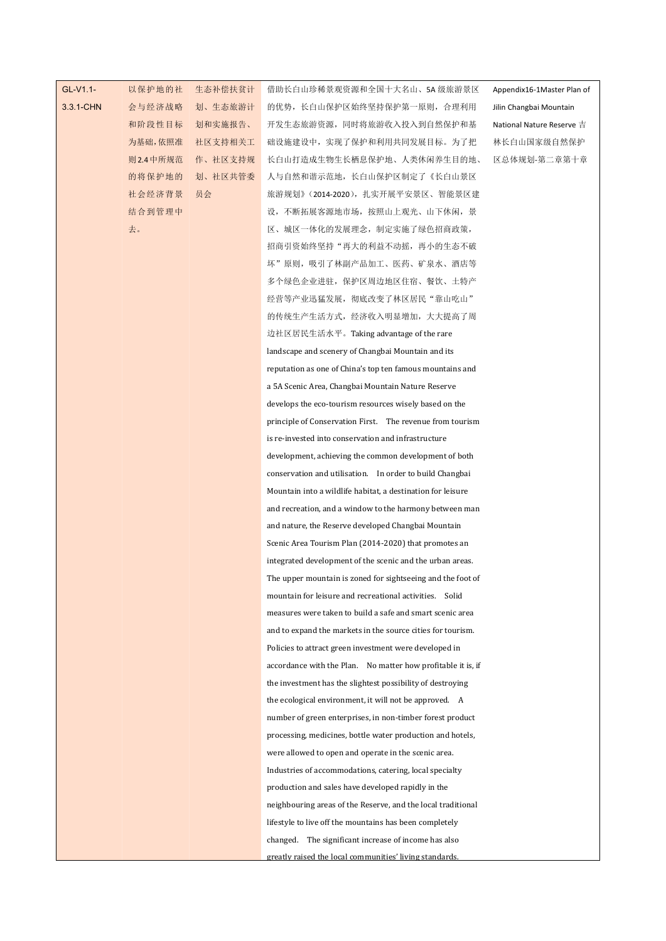## GL-V1.1- 以保护地的社

3.3.1-CHN 会与经济战略 划、生态旅游计

以保护地的社 生态补偿扶贫计 借助长白山珍稀景观资源和全国十大名山、5A 级旅游景区 Appendix16-1Master Plan of | 会与经济战略 划、生态旅游计 的优势,长白山保护区始终坚持保护第一原则,合理利用 Jilin Changbai Mountain | 和阶段性目标 划和实施报告、 开发生态旅游资源,同时将旅游收入投入到自然保护和基 National Nature Reserve 吉 为基础,依照准 社区支持相关工 础设施建设中,实现了保护和利用共同发展目标。为了把 林长白山国家级自然保护 | 则2.4中所规范 作、社区支持规 长白山打造成生物生长栖息保护地、人类休闲养生目的地、 区总体规划-第二章第十章 | 的将保护地的 划、社区共管委 人与自然和谐示范地,长白山保护区制定了《长白山景区 社会经济背景 员会 旅游规划》(2014-2020),扎实开展平安景区、智能景区建 结合到管理中,不同的人,这样的人,不断拓展客源地市场,按照山上观光、山下休闲,景代的人民的人民的人民的人民民族的人民族界的人民族界的人民族界的人民族界的人民族界 去。 区、城区一体化的发展理念,制定实施了绿色招商政策, 招商引资始终坚持"再大的利益不动摇,再小的生态不破 坏"原则,吸引了林副产品加工、医药、矿泉水、酒店等 多个绿色企业进驻,保护区周边地区住宿、餐饮、土特产 经营等产业迅猛发展,彻底改变了林区居民"靠山吃山" 的传统生产生活方式,经济收入明显增加,大大提高了周 边社区居民生活水平。Taking advantage of the rare landscape and scenery of Changbai Mountain and its reputation as one of China's top ten famous mountains and a 5A Scenic Area, Changbai Mountain Nature Reserve develops the eco-tourism resources wisely based on the principle of Conservation First. The revenue from tourism is re-invested into conservation and infrastructure development, achieving the common development of both conservation and utilisation. In order to build Changbai Mountain into a wildlife habitat, a destination for leisure and recreation, and a window to the harmony between man and nature, the Reserve developed Changbai Mountain Scenic Area Tourism Plan (2014-2020) that promotes an integrated development of the scenic and the urban areas. The upper mountain is zoned for sightseeing and the foot of mountain for leisure and recreational activities. Solid measures were taken to build a safe and smart scenic area and to expand the markets in the source cities for tourism. Policies to attract green investment were developed in accordance with the Plan. No matter how profitable it is, if the investment has the slightest possibility of destroying the ecological environment, it will not be approved. A number of green enterprises, in non-timber forest product processing, medicines, bottle water production and hotels, were allowed to open and operate in the scenic area. Industries of accommodations, catering, local specialty production and sales have developed rapidly in the neighbouring areas of the Reserve, and the local traditional lifestyle to live off the mountains has been completely changed. The significant increase of income has also greatly raised the local communities' living standards.

Appendix16-1Master Plan of Jilin Changbai Mountain National Nature Reserve 吉 林长白山国家级自然保护 区总体规划-第二章第十章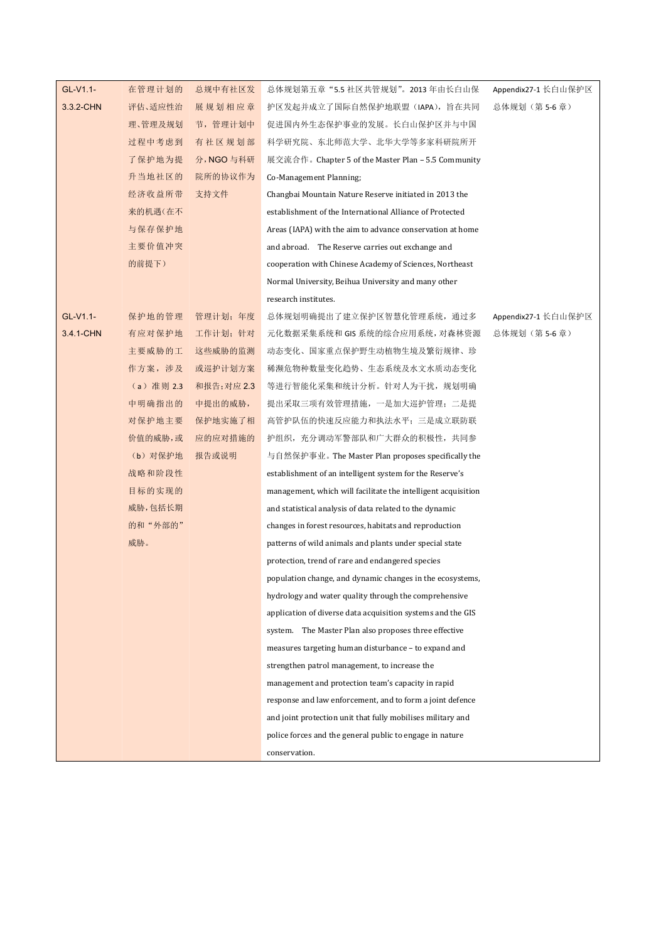| GL-V1.1-  | 在管理计划的     | 总规中有社区发     | 总体规划第五章 "5.5 社区共管规划"。2013 年由长白山保                              | Appendix27-1 长白山保护区 |
|-----------|------------|-------------|---------------------------------------------------------------|---------------------|
| 3.3.2-CHN | 评估、适应性治    | 展规划相应章      | 护区发起并成立了国际自然保护地联盟(IAPA),旨在共同                                  | 总体规划(第5-6章)         |
|           | 理、管理及规划    | 节,管理计划中     | 促进国内外生态保护事业的发展。长白山保护区并与中国                                     |                     |
|           | 过程中考虑到     | 有社区规划部      | 科学研究院、东北师范大学、北华大学等多家科研院所开                                     |                     |
|           | 了保护地为提     | 分, NGO 与科研  | 展交流合作。Chapter 5 of the Master Plan - 5.5 Community            |                     |
|           | 升当地社区的     | 院所的协议作为     | Co-Management Planning;                                       |                     |
|           | 经济收益所带     | 支持文件        | Changbai Mountain Nature Reserve initiated in 2013 the        |                     |
|           | 来的机遇(在不    |             | establishment of the International Alliance of Protected      |                     |
|           | 与保存保护地     |             | Areas (IAPA) with the aim to advance conservation at home     |                     |
|           | 主要价值冲突     |             | and abroad. The Reserve carries out exchange and              |                     |
|           | 的前提下)      |             | cooperation with Chinese Academy of Sciences, Northeast       |                     |
|           |            |             | Normal University, Beihua University and many other           |                     |
|           |            |             | research institutes.                                          |                     |
| GL-V1.1-  | 保护地的管理     | 管理计划; 年度    | 总体规划明确提出了建立保护区智慧化管理系统, 通过多                                    | Appendix27-1 长白山保护区 |
| 3.4.1-CHN | 有应对保护地     | 工作计划; 针对    | 元化数据采集系统和 GIS 系统的综合应用系统, 对森林资源                                | 总体规划(第5-6章)         |
|           | 主要威胁的工     | 这些威胁的监测     | 动态变化、国家重点保护野生动植物生境及繁衍规律、珍                                     |                     |
|           | 作方案, 涉及    | 或巡护计划方案     | 稀濒危物种数量变化趋势、生态系统及水文水质动态变化                                     |                     |
|           | (a) 准则 2.3 | 和报告; 对应 2.3 | 等进行智能化采集和统计分析。针对人为干扰,规划明确                                     |                     |
|           | 中明确指出的     | 中提出的威胁,     | 提出采取三项有效管理措施, 一是加大巡护管理; 二是提                                   |                     |
|           | 对保护地主要     | 保护地实施了相     | 高管护队伍的快速反应能力和执法水平; 三是成立联防联                                    |                     |
|           | 价值的威胁,或    | 应的应对措施的     | 护组织,充分调动军警部队和广大群众的积极性,共同参                                     |                     |
|           | (b) 对保护地   | 报告或说明       | 与自然保护事业。 The Master Plan proposes specifically the            |                     |
|           | 战略和阶段性     |             | establishment of an intelligent system for the Reserve's      |                     |
|           | 目标的实现的     |             | management, which will facilitate the intelligent acquisition |                     |
|           | 威胁,包括长期    |             | and statistical analysis of data related to the dynamic       |                     |
|           | 的和"外部的"    |             | changes in forest resources, habitats and reproduction        |                     |
|           | 威胁。        |             | patterns of wild animals and plants under special state       |                     |
|           |            |             | protection, trend of rare and endangered species              |                     |
|           |            |             | population change, and dynamic changes in the ecosystems,     |                     |
|           |            |             | hydrology and water quality through the comprehensive         |                     |
|           |            |             | application of diverse data acquisition systems and the GIS   |                     |
|           |            |             | system. The Master Plan also proposes three effective         |                     |
|           |            |             | measures targeting human disturbance - to expand and          |                     |
|           |            |             | strengthen patrol management, to increase the                 |                     |
|           |            |             | management and protection team's capacity in rapid            |                     |
|           |            |             | response and law enforcement, and to form a joint defence     |                     |
|           |            |             | and joint protection unit that fully mobilises military and   |                     |
|           |            |             | police forces and the general public to engage in nature      |                     |
|           |            |             | conservation.                                                 |                     |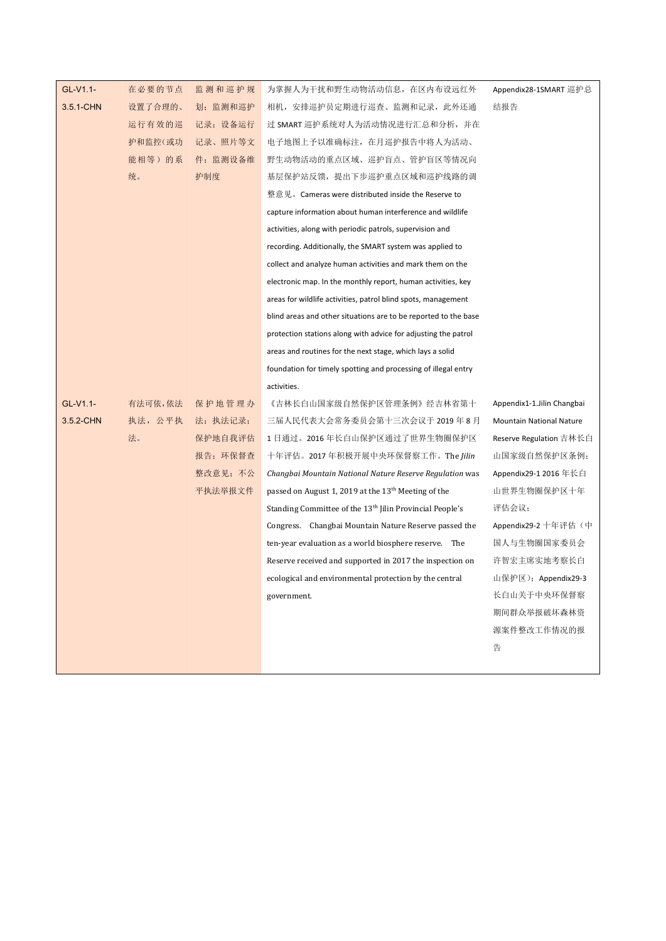| GL-V1.1-  | 在必要的节点  | 监测和巡护规   | 为掌握人为干扰和野生动物活动信息, 在区内布设远红外                                           | Appendix28-1SMART 巡护总           |
|-----------|---------|----------|----------------------------------------------------------------------|---------------------------------|
| 3.5.1-CHN | 设置了合理的、 | 划;监测和巡护  | 相机,安排巡护员定期进行巡查、监测和记录,此外还通                                            | 结报告                             |
|           | 运行有效的巡  | 记录; 设备运行 | 过 SMART 巡护系统对人为活动情况进行汇总和分析,并在                                        |                                 |
|           | 护和监控(或功 | 记录、照片等文  | 电子地图上予以准确标注,在月巡护报告中将人为活动、                                            |                                 |
|           | 能相等)的系  | 件;监测设备维  | 野生动物活动的重点区域、巡护盲点、管护盲区等情况向                                            |                                 |
|           | 统。      | 护制度      | 基层保护站反馈, 提出下步巡护重点区域和巡护线路的调                                           |                                 |
|           |         |          | 整意见。Cameras were distributed inside the Reserve to                   |                                 |
|           |         |          | capture information about human interference and wildlife            |                                 |
|           |         |          | activities, along with periodic patrols, supervision and             |                                 |
|           |         |          | recording. Additionally, the SMART system was applied to             |                                 |
|           |         |          | collect and analyze human activities and mark them on the            |                                 |
|           |         |          | electronic map. In the monthly report, human activities, key         |                                 |
|           |         |          | areas for wildlife activities, patrol blind spots, management        |                                 |
|           |         |          | blind areas and other situations are to be reported to the base      |                                 |
|           |         |          | protection stations along with advice for adjusting the patrol       |                                 |
|           |         |          | areas and routines for the next stage, which lays a solid            |                                 |
|           |         |          | foundation for timely spotting and processing of illegal entry       |                                 |
|           |         |          | activities.                                                          |                                 |
| GL-V1.1-  | 有法可依,依法 | 保护地管理办   | 《吉林长白山国家级自然保护区管理条例》 经吉林省第十                                           | Appendix1-1.Jilin Changbai      |
| 3.5.2-CHN | 执法, 公平执 | 法;执法记录;  | 三届人民代表大会常务委员会第十三次会议于 2019 年 8 月                                      | <b>Mountain National Nature</b> |
|           | 法。      | 保护地自我评估  | 1 日通过。2016 年长白山保护区通过了世界生物圈保护区                                        | Reserve Regulation 吉林长白         |
|           |         | 报告;环保督查  | 十年评估。2017年积极开展中央环保督察工作。The Jilin                                     | 山国家级自然保护区条例;                    |
|           |         | 整改意见;不公  | Changbai Mountain National Nature Reserve Regulation was             | Appendix29-1 2016 年长白           |
|           |         | 平执法举报文件  | passed on August 1, 2019 at the 13 <sup>th</sup> Meeting of the      | 山世界生物圈保护区十年                     |
|           |         |          | Standing Committee of the 13 <sup>th</sup> Jilin Provincial People's | 评估会议;                           |
|           |         |          | Congress. Changbai Mountain Nature Reserve passed the                | Appendix29-2 十年评估 (中            |
|           |         |          | ten-year evaluation as a world biosphere reserve. The                | 国人与生物圈国家委员会                     |
|           |         |          | Reserve received and supported in 2017 the inspection on             | 许智宏主席实地考察长白                     |
|           |         |          | ecological and environmental protection by the central               | 山保护区); Appendix29-3             |
|           |         |          | government.                                                          | 长白山关于中央环保督察                     |
|           |         |          |                                                                      | 期间群众举报破坏森林资                     |
|           |         |          |                                                                      | 源案件整改工作情况的报                     |
|           |         |          |                                                                      | 告                               |
|           |         |          |                                                                      |                                 |
|           |         |          |                                                                      |                                 |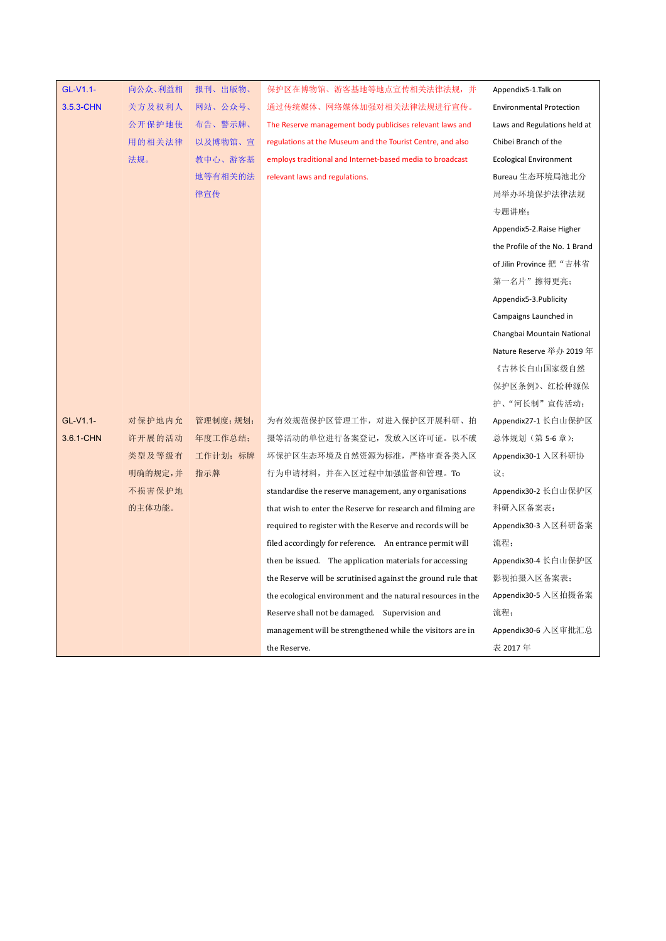| GL-V1.1-  | 向公众、利益相 | 报刊、出版物、  | 保护区在博物馆、游客基地等地点宣传相关法律法规,并                                    | Appendix5-1.Talk on             |
|-----------|---------|----------|--------------------------------------------------------------|---------------------------------|
| 3.5.3-CHN | 关方及权利人  | 网站、公众号、  | 通过传统媒体、网络媒体加强对相关法律法规进行宣传。                                    | <b>Environmental Protection</b> |
|           | 公开保护地使  | 布告、警示牌、  | The Reserve management body publicises relevant laws and     | Laws and Regulations held at    |
|           | 用的相关法律  | 以及博物馆、宣  | regulations at the Museum and the Tourist Centre, and also   | Chibei Branch of the            |
|           | 法规。     | 教中心、游客基  | employs traditional and Internet-based media to broadcast    | <b>Ecological Environment</b>   |
|           |         | 地等有相关的法  | relevant laws and regulations.                               | Bureau 生态环境局池北分                 |
|           |         | 律宣传      |                                                              | 局举办环境保护法律法规                     |
|           |         |          |                                                              | 专题讲座;                           |
|           |         |          |                                                              | Appendix5-2.Raise Higher        |
|           |         |          |                                                              | the Profile of the No. 1 Brand  |
|           |         |          |                                                              | of Jilin Province 把"吉林省         |
|           |         |          |                                                              | 第一名片"擦得更亮;                      |
|           |         |          |                                                              | Appendix5-3.Publicity           |
|           |         |          |                                                              | Campaigns Launched in           |
|           |         |          |                                                              | Changbai Mountain National      |
|           |         |          |                                                              | Nature Reserve 举办 2019 年        |
|           |         |          |                                                              | 《吉林长白山国家级自然                     |
|           |         |          |                                                              | 保护区条例》、红松种源保                    |
|           |         |          |                                                              | 护、"河长制"宣传活动;                    |
| GL-V1.1-  | 对保护地内允  | 管理制度;规划; | 为有效规范保护区管理工作, 对进入保护区开展科研、拍                                   | Appendix27-1 长白山保护区             |
| 3.6.1-CHN | 许开展的活动  | 年度工作总结;  | 摄等活动的单位进行备案登记, 发放入区许可证。以不破                                   | 总体规划 (第5-6章);                   |
|           | 类型及等级有  | 工作计划; 标牌 | 坏保护区生态环境及自然资源为标准,严格审查各类入区                                    | Appendix30-1 入区科研协              |
|           | 明确的规定,并 | 指示牌      | 行为申请材料, 并在入区过程中加强监督和管理。To                                    | 议;                              |
|           | 不损害保护地  |          | standardise the reserve management, any organisations        | Appendix30-2 长白山保护区             |
|           | 的主体功能。  |          | that wish to enter the Reserve for research and filming are  | 科研入区备案表;                        |
|           |         |          | required to register with the Reserve and records will be    | Appendix30-3 入区科研备案             |
|           |         |          | filed accordingly for reference. An entrance permit will     | 流程;                             |
|           |         |          | then be issued. The application materials for accessing      | Appendix30-4 长白山保护区             |
|           |         |          | the Reserve will be scrutinised against the ground rule that | 影视拍摄入区备案表;                      |
|           |         |          | the ecological environment and the natural resources in the  | Appendix30-5 入区拍摄备案             |
|           |         |          | Reserve shall not be damaged. Supervision and                | 流程;                             |
|           |         |          | management will be strengthened while the visitors are in    | Appendix30-6 入区审批汇总             |
|           |         |          | the Reserve.                                                 | 表 2017年                         |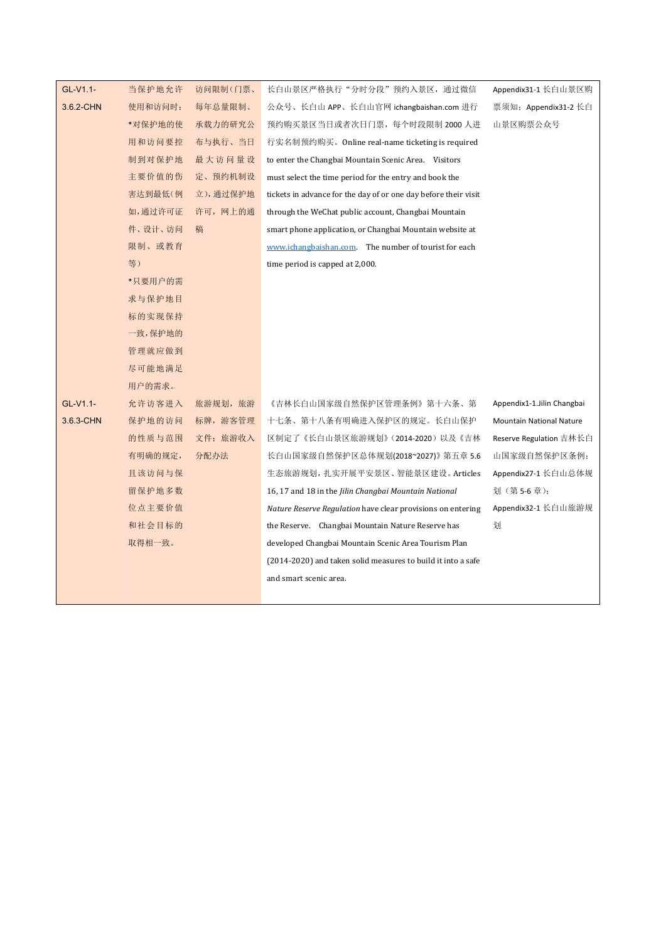| GL-V1.1-  | 当保护地允许  | 访问限制(门票、 | 长白山景区严格执行"分时分段"预约入景区,通过微信                                       | Appendix31-1 长白山景区购             |
|-----------|---------|----------|-----------------------------------------------------------------|---------------------------------|
| 3.6.2-CHN | 使用和访问时: | 每年总量限制、  | 公众号、长自山 APP、长自山官网 ichangbaishan.com 进行                          | 票须知; Appendix31-2 长白            |
|           | *对保护地的使 | 承载力的研究公  | 预约购买景区当日或者次日门票, 每个时段限制 2000 人进                                  | 山景区购票公众号                        |
|           | 用和访问要控  | 布与执行、当日  | 行实名制预约购买。Online real-name ticketing is required                 |                                 |
|           | 制到对保护地  | 最大访问量设   | to enter the Changbai Mountain Scenic Area. Visitors            |                                 |
|           | 主要价值的伤  | 定、预约机制设  | must select the time period for the entry and book the          |                                 |
|           | 害达到最低(例 | 立),通过保护地 | tickets in advance for the day of or one day before their visit |                                 |
|           | 如,通过许可证 | 许可, 网上的通 |                                                                 |                                 |
|           |         |          | through the WeChat public account, Changbai Mountain            |                                 |
|           | 件、设计、访问 | 稿        | smart phone application, or Changbai Mountain website at        |                                 |
|           | 限制、或教育  |          | www.ichangbaishan.com. The number of tourist for each           |                                 |
|           | 等)      |          | time period is capped at 2,000.                                 |                                 |
|           | *只要用户的需 |          |                                                                 |                                 |
|           | 求与保护地目  |          |                                                                 |                                 |
|           | 标的实现保持  |          |                                                                 |                                 |
|           | 一致,保护地的 |          |                                                                 |                                 |
|           | 管理就应做到  |          |                                                                 |                                 |
|           | 尽可能地满足  |          |                                                                 |                                 |
|           | 用户的需求。  |          |                                                                 |                                 |
| GL-V1.1-  | 允许访客进入  | 旅游规划, 旅游 | 《吉林长白山国家级自然保护区管理条例》第十六条、第                                       | Appendix1-1.Jilin Changbai      |
| 3.6.3-CHN | 保护地的访问  | 标牌, 游客管理 | 十七条、第十八条有明确进入保护区的规定。长白山保护                                       | <b>Mountain National Nature</b> |
|           | 的性质与范围  | 文件; 旅游收入 | 区制定了《长白山景区旅游规划》(2014-2020)以及《吉林                                 | Reserve Regulation 吉林长白         |
|           | 有明确的规定, | 分配办法     | 长白山国家级自然保护区总体规划(2018~2027)》 第五章 5.6                             | 山国家级自然保护区条例;                    |
|           | 且该访问与保  |          | 生态旅游规划, 扎实开展平安景区、智能景区建设。Articles                                | Appendix27-1 长白山总体规             |
|           | 留保护地多数  |          | 16, 17 and 18 in the Jilin Changbai Mountain National           | 划(第5-6章);                       |
|           | 位点主要价值  |          | Nature Reserve Regulation have clear provisions on entering     | Appendix32-1 长白山旅游规             |
|           | 和社会目标的  |          | the Reserve. Changbai Mountain Nature Reserve has               | 划                               |
|           | 取得相一致。  |          | developed Changbai Mountain Scenic Area Tourism Plan            |                                 |
|           |         |          | (2014-2020) and taken solid measures to build it into a safe    |                                 |
|           |         |          | and smart scenic area.                                          |                                 |
|           |         |          |                                                                 |                                 |
|           |         |          |                                                                 |                                 |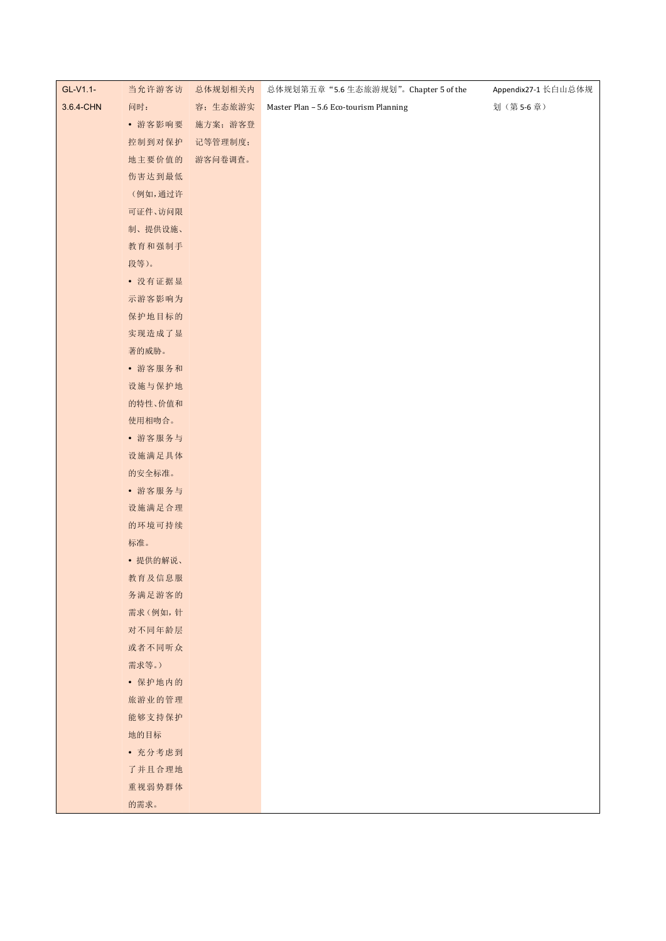| GL-V1.1-  | 当允许游客访   | 总体规划相关内  | 总体规划第五章"5.6生态旅游规划"。Chapter 5 of the    | Appendix27-1 长白山总体规 |
|-----------|----------|----------|----------------------------------------|---------------------|
| 3.6.4-CHN | 问时:      | 容;生态旅游实  | Master Plan - 5.6 Eco-tourism Planning | 划(第5-6章)            |
|           | • 游客影响要  | 施方案; 游客登 |                                        |                     |
|           | 控制到对保护   | 记等管理制度;  |                                        |                     |
|           | 地主要价值的   | 游客问卷调查。  |                                        |                     |
|           | 伤害达到最低   |          |                                        |                     |
|           | (例如,通过许  |          |                                        |                     |
|           | 可证件、访问限  |          |                                        |                     |
|           | 制、提供设施、  |          |                                        |                     |
|           | 教育和强制手   |          |                                        |                     |
|           | 段等)。     |          |                                        |                     |
|           | • 没有证据显  |          |                                        |                     |
|           | 示游客影响为   |          |                                        |                     |
|           | 保护地目标的   |          |                                        |                     |
|           | 实现造成了显   |          |                                        |                     |
|           | 著的威胁。    |          |                                        |                     |
|           | • 游客服务和  |          |                                        |                     |
|           | 设施与保护地   |          |                                        |                     |
|           | 的特性、价值和  |          |                                        |                     |
|           | 使用相吻合。   |          |                                        |                     |
|           | • 游客服务与  |          |                                        |                     |
|           | 设施满足具体   |          |                                        |                     |
|           | 的安全标准。   |          |                                        |                     |
|           | • 游客服务与  |          |                                        |                     |
|           | 设施满足合理   |          |                                        |                     |
|           | 的环境可持续   |          |                                        |                     |
|           | 标准。      |          |                                        |                     |
|           | • 提供的解说、 |          |                                        |                     |
|           | 教育及信息服   |          |                                        |                     |
|           | 务满足游客的   |          |                                        |                     |
|           | 需求(例如,针  |          |                                        |                     |
|           | 对不同年龄层   |          |                                        |                     |
|           | 或者不同听众   |          |                                        |                     |
|           | 需求等。)    |          |                                        |                     |
|           | • 保护地内的  |          |                                        |                     |
|           | 旅游业的管理   |          |                                        |                     |
|           | 能够支持保护   |          |                                        |                     |
|           | 地的目标     |          |                                        |                     |
|           | • 充分考虑到  |          |                                        |                     |
|           | 了并且合理地   |          |                                        |                     |
|           | 重视弱势群体   |          |                                        |                     |
|           | 的需求。     |          |                                        |                     |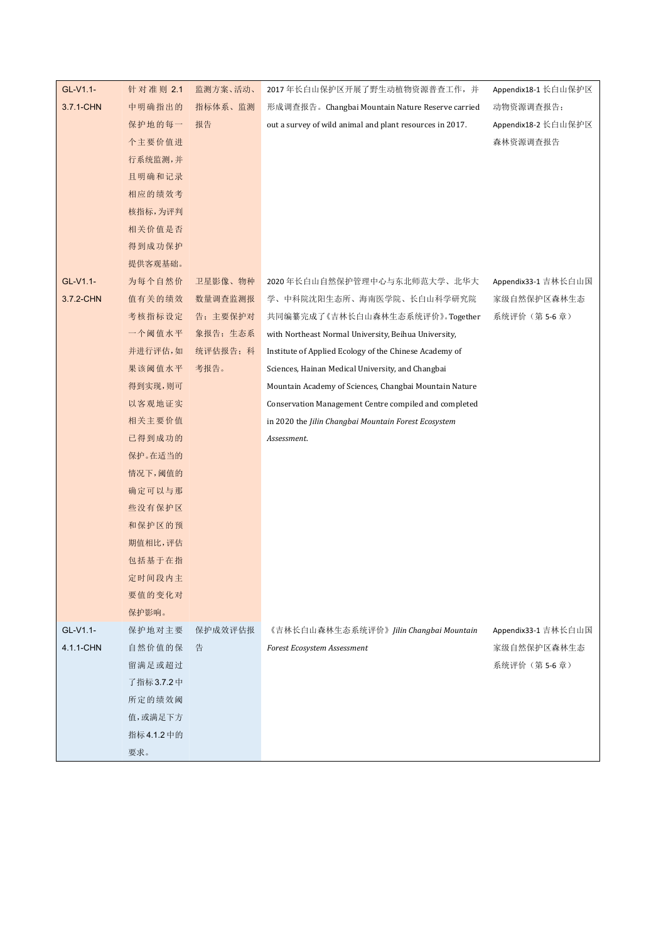| GL-V1.1-  | 针对准则 2.1    | 监测方案、活动、 | 2017年长白山保护区开展了野生动植物资源普查工作,并                              | Appendix18-1 长白山保护区 |
|-----------|-------------|----------|----------------------------------------------------------|---------------------|
| 3.7.1-CHN | 中明确指出的      | 指标体系、监测  | 形成调查报告。Changbai Mountain Nature Reserve carried          | 动物资源调查报告;           |
|           | 保护地的每一      | 报告       | out a survey of wild animal and plant resources in 2017. | Appendix18-2 长白山保护区 |
|           | 个主要价值进      |          |                                                          | 森林资源调查报告            |
|           | 行系统监测,并     |          |                                                          |                     |
|           | 且明确和记录      |          |                                                          |                     |
|           | 相应的绩效考      |          |                                                          |                     |
|           | 核指标,为评判     |          |                                                          |                     |
|           | 相关价值是否      |          |                                                          |                     |
|           | 得到成功保护      |          |                                                          |                     |
|           | 提供客观基础。     |          |                                                          |                     |
| GL-V1.1-  | 为每个自然价      | 卫星影像、物种  | 2020年长白山自然保护管理中心与东北师范大学、北华大                              | Appendix33-1 吉林长白山国 |
| 3.7.2-CHN | 值有关的绩效      | 数量调查监测报  | 学、中科院沈阳生态所、海南医学院、长白山科学研究院                                | 家级自然保护区森林生态         |
|           | 考核指标设定      | 告; 主要保护对 | 共同编纂完成了《吉林长白山森林生态系统评价》。Together                          | 系统评价 (第5-6章)        |
|           | 一个阈值水平      | 象报告;生态系  | with Northeast Normal University, Beihua University,     |                     |
|           | 并进行评估,如     | 统评估报告; 科 | Institute of Applied Ecology of the Chinese Academy of   |                     |
|           | 果该阈值水平      | 考报告。     | Sciences, Hainan Medical University, and Changbai        |                     |
|           | 得到实现,则可     |          | Mountain Academy of Sciences, Changbai Mountain Nature   |                     |
|           | 以客观地证实      |          | Conservation Management Centre compiled and completed    |                     |
|           | 相关主要价值      |          | in 2020 the Jilin Changbai Mountain Forest Ecosystem     |                     |
|           | 已得到成功的      |          | Assessment.                                              |                     |
|           | 保护。在适当的     |          |                                                          |                     |
|           | 情况下,阈值的     |          |                                                          |                     |
|           | 确定可以与那      |          |                                                          |                     |
|           | 些没有保护区      |          |                                                          |                     |
|           | 和保护区的预      |          |                                                          |                     |
|           | 期值相比,评估     |          |                                                          |                     |
|           | 包括基于在指      |          |                                                          |                     |
|           | 定时间段内主      |          |                                                          |                     |
|           | 要值的变化对      |          |                                                          |                     |
|           | 保护影响。       |          |                                                          |                     |
| GL-V1.1-  | 保护地对主要      | 保护成效评估报  | 《吉林长白山森林生态系统评价》 Jilin Changbai Mountain                  | Appendix33-1 吉林长白山国 |
| 4.1.1-CHN | 自然价值的保      | 告        | Forest Ecosystem Assessment                              | 家级自然保护区森林生态         |
|           | 留满足或超过      |          |                                                          | 系统评价(第5-6章)         |
|           | 了指标3.7.2中   |          |                                                          |                     |
|           | 所定的绩效阈      |          |                                                          |                     |
|           | 值,或满足下方     |          |                                                          |                     |
|           | 指标 4.1.2 中的 |          |                                                          |                     |
|           | 要求。         |          |                                                          |                     |